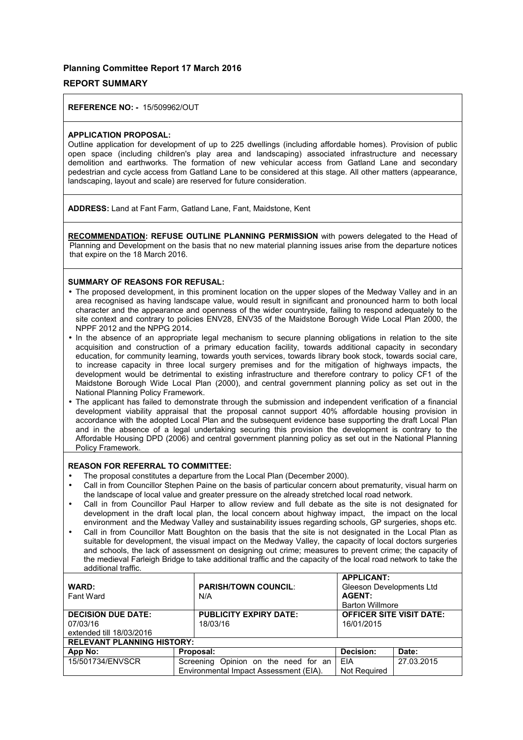#### **Planning Committee Report 17 March 2016**

#### **REPORT SUMMARY**

**REFERENCE NO: -** 15/509962/OUT

#### **APPLICATION PROPOSAL:**

Outline application for development of up to 225 dwellings (including affordable homes). Provision of public open space (including children's play area and landscaping) associated infrastructure and necessary demolition and earthworks. The formation of new vehicular access from Gatland Lane and secondary pedestrian and cycle access from Gatland Lane to be considered at this stage. All other matters (appearance, landscaping, layout and scale) are reserved for future consideration.

**ADDRESS:** Land at Fant Farm, Gatland Lane, Fant, Maidstone, Kent

**RECOMMENDATION: REFUSE OUTLINE PLANNING PERMISSION** with powers delegated to the Head of Planning and Development on the basis that no new material planning issues arise from the departure notices that expire on the 18 March 2016.

#### **SUMMARY OF REASONS FOR REFUSAL:**

- The proposed development, in this prominent location on the upper slopes of the Medway Valley and in an area recognised as having landscape value, would result in significant and pronounced harm to both local character and the appearance and openness of the wider countryside, failing to respond adequately to the site context and contrary to policies ENV28, ENV35 of the Maidstone Borough Wide Local Plan 2000, the NPPF 2012 and the NPPG 2014.
- In the absence of an appropriate legal mechanism to secure planning obligations in relation to the site acquisition and construction of a primary education facility, towards additional capacity in secondary education, for community learning, towards youth services, towards library book stock, towards social care, to increase capacity in three local surgery premises and for the mitigation of highways impacts, the development would be detrimental to existing infrastructure and therefore contrary to policy CF1 of the Maidstone Borough Wide Local Plan (2000), and central government planning policy as set out in the National Planning Policy Framework.
- The applicant has failed to demonstrate through the submission and independent verification of a financial development viability appraisal that the proposal cannot support 40% affordable housing provision in accordance with the adopted Local Plan and the subsequent evidence base supporting the draft Local Plan and in the absence of a legal undertaking securing this provision the development is contrary to the Affordable Housing DPD (2006) and central government planning policy as set out in the National Planning Policy Framework.

#### **REASON FOR REFERRAL TO COMMITTEE:**

- The proposal constitutes a departure from the Local Plan (December 2000).
- Call in from Councillor Stephen Paine on the basis of particular concern about prematurity, visual harm on the landscape of local value and greater pressure on the already stretched local road network.
- Call in from Councillor Paul Harper to allow review and full debate as the site is not designated for development in the draft local plan, the local concern about highway impact, the impact on the local environment and the Medway Valley and sustainability issues regarding schools, GP surgeries, shops etc.
- Call in from Councillor Matt Boughton on the basis that the site is not designated in the Local Plan as suitable for development, the visual impact on the Medway Valley, the capacity of local doctors surgeries and schools, the lack of assessment on designing out crime; measures to prevent crime; the capacity of the medieval Farleigh Bridge to take additional traffic and the capacity of the local road network to take the additional traffic.

| <b>WARD:</b><br><b>Fant Ward</b>                              |  | <b>PARISH/TOWN COUNCIL:</b><br>N/A                                             | <b>APPLICANT:</b><br>Gleeson Developments Ltd<br><b>AGENT:</b><br><b>Barton Willmore</b> |            |
|---------------------------------------------------------------|--|--------------------------------------------------------------------------------|------------------------------------------------------------------------------------------|------------|
| <b>DECISION DUE DATE:</b><br>07/03/16                         |  | <b>PUBLICITY EXPIRY DATE:</b><br>18/03/16                                      | <b>OFFICER SITE VISIT DATE:</b><br>16/01/2015                                            |            |
| extended till 18/03/2016<br><b>RELEVANT PLANNING HISTORY:</b> |  |                                                                                |                                                                                          |            |
| App No:                                                       |  | Proposal:                                                                      | Decision:                                                                                | Date:      |
| 15/501734/ENVSCR                                              |  | Screening Opinion on the need for an<br>Environmental Impact Assessment (EIA). | EIA<br>Not Required                                                                      | 27.03.2015 |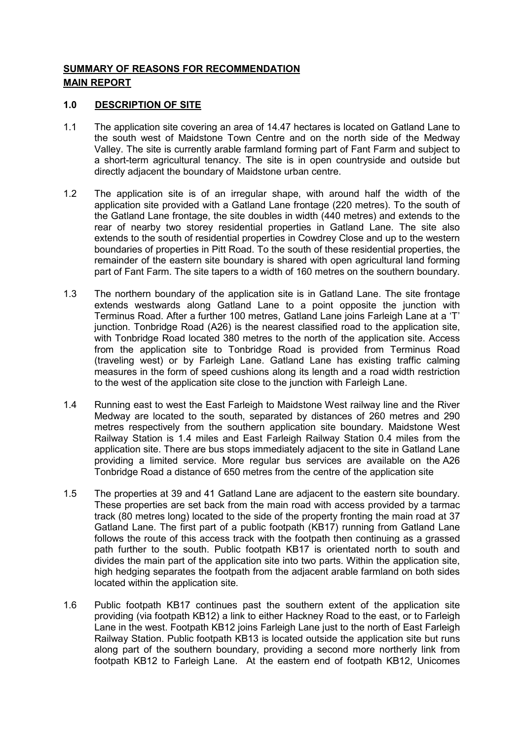# **SUMMARY OF REASONS FOR RECOMMENDATION MAIN REPORT**

### **1.0 DESCRIPTION OF SITE**

- 1.1 The application site covering an area of 14.47 hectares is located on Gatland Lane to the south west of Maidstone Town Centre and on the north side of the Medway Valley. The site is currently arable farmland forming part of Fant Farm and subject to a short-term agricultural tenancy. The site is in open countryside and outside but directly adjacent the boundary of Maidstone urban centre.
- 1.2 The application site is of an irregular shape, with around half the width of the application site provided with a Gatland Lane frontage (220 metres). To the south of the Gatland Lane frontage, the site doubles in width (440 metres) and extends to the rear of nearby two storey residential properties in Gatland Lane. The site also extends to the south of residential properties in Cowdrey Close and up to the western boundaries of properties in Pitt Road. To the south of these residential properties, the remainder of the eastern site boundary is shared with open agricultural land forming part of Fant Farm. The site tapers to a width of 160 metres on the southern boundary.
- 1.3 The northern boundary of the application site is in Gatland Lane. The site frontage extends westwards along Gatland Lane to a point opposite the junction with Terminus Road. After a further 100 metres, Gatland Lane joins Farleigh Lane at a 'T' junction. Tonbridge Road (A26) is the nearest classified road to the application site, with Tonbridge Road located 380 metres to the north of the application site. Access from the application site to Tonbridge Road is provided from Terminus Road (traveling west) or by Farleigh Lane. Gatland Lane has existing traffic calming measures in the form of speed cushions along its length and a road width restriction to the west of the application site close to the junction with Farleigh Lane.
- 1.4 Running east to west the East Farleigh to Maidstone West railway line and the River Medway are located to the south, separated by distances of 260 metres and 290 metres respectively from the southern application site boundary. Maidstone West Railway Station is 1.4 miles and East Farleigh Railway Station 0.4 miles from the application site. There are bus stops immediately adjacent to the site in Gatland Lane providing a limited service. More regular bus services are available on the A26 Tonbridge Road a distance of 650 metres from the centre of the application site
- 1.5 The properties at 39 and 41 Gatland Lane are adjacent to the eastern site boundary. These properties are set back from the main road with access provided by a tarmac track (80 metres long) located to the side of the property fronting the main road at 37 Gatland Lane. The first part of a public footpath (KB17) running from Gatland Lane follows the route of this access track with the footpath then continuing as a grassed path further to the south. Public footpath KB17 is orientated north to south and divides the main part of the application site into two parts. Within the application site, high hedging separates the footpath from the adjacent arable farmland on both sides located within the application site.
- 1.6 Public footpath KB17 continues past the southern extent of the application site providing (via footpath KB12) a link to either Hackney Road to the east, or to Farleigh Lane in the west. Footpath KB12 joins Farleigh Lane just to the north of East Farleigh Railway Station. Public footpath KB13 is located outside the application site but runs along part of the southern boundary, providing a second more northerly link from footpath KB12 to Farleigh Lane. At the eastern end of footpath KB12, Unicomes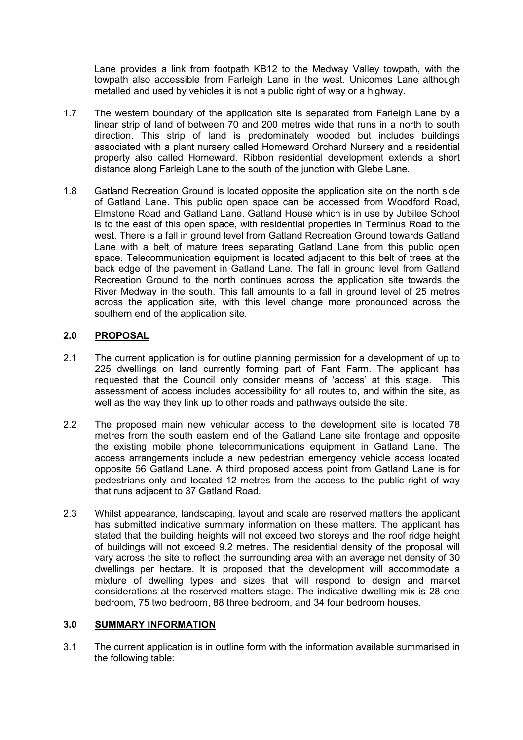Lane provides a link from footpath KB12 to the Medway Valley towpath, with the towpath also accessible from Farleigh Lane in the west. Unicomes Lane although metalled and used by vehicles it is not a public right of way or a highway.

- 1.7 The western boundary of the application site is separated from Farleigh Lane by a linear strip of land of between 70 and 200 metres wide that runs in a north to south direction. This strip of land is predominately wooded but includes buildings associated with a plant nursery called Homeward Orchard Nursery and a residential property also called Homeward. Ribbon residential development extends a short distance along Farleigh Lane to the south of the junction with Glebe Lane.
- 1.8 Gatland Recreation Ground is located opposite the application site on the north side of Gatland Lane. This public open space can be accessed from Woodford Road, Elmstone Road and Gatland Lane. Gatland House which is in use by Jubilee School is to the east of this open space, with residential properties in Terminus Road to the west. There is a fall in ground level from Gatland Recreation Ground towards Gatland Lane with a belt of mature trees separating Gatland Lane from this public open space. Telecommunication equipment is located adjacent to this belt of trees at the back edge of the pavement in Gatland Lane. The fall in ground level from Gatland Recreation Ground to the north continues across the application site towards the River Medway in the south. This fall amounts to a fall in ground level of 25 metres across the application site, with this level change more pronounced across the southern end of the application site.

# **2.0 PROPOSAL**

- 2.1 The current application is for outline planning permission for a development of up to 225 dwellings on land currently forming part of Fant Farm. The applicant has requested that the Council only consider means of 'access' at this stage. This assessment of access includes accessibility for all routes to, and within the site, as well as the way they link up to other roads and pathways outside the site.
- 2.2 The proposed main new vehicular access to the development site is located 78 metres from the south eastern end of the Gatland Lane site frontage and opposite the existing mobile phone telecommunications equipment in Gatland Lane. The access arrangements include a new pedestrian emergency vehicle access located opposite 56 Gatland Lane. A third proposed access point from Gatland Lane is for pedestrians only and located 12 metres from the access to the public right of way that runs adjacent to 37 Gatland Road.
- 2.3 Whilst appearance, landscaping, layout and scale are reserved matters the applicant has submitted indicative summary information on these matters. The applicant has stated that the building heights will not exceed two storeys and the roof ridge height of buildings will not exceed 9.2 metres. The residential density of the proposal will vary across the site to reflect the surrounding area with an average net density of 30 dwellings per hectare. It is proposed that the development will accommodate a mixture of dwelling types and sizes that will respond to design and market considerations at the reserved matters stage. The indicative dwelling mix is 28 one bedroom, 75 two bedroom, 88 three bedroom, and 34 four bedroom houses.

### **3.0 SUMMARY INFORMATION**

3.1 The current application is in outline form with the information available summarised in the following table: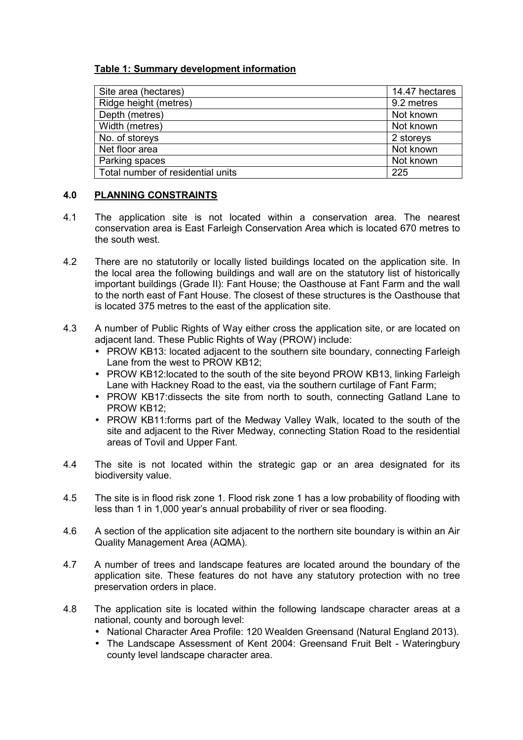# **Table 1: Summary development information**

| Site area (hectares)              | 14.47 hectares |
|-----------------------------------|----------------|
| Ridge height (metres)             | 9.2 metres     |
| Depth (metres)                    | Not known      |
| Width (metres)                    | Not known      |
| No. of storeys                    | 2 storeys      |
| Net floor area                    | Not known      |
| Parking spaces                    | Not known      |
| Total number of residential units | 225            |
|                                   |                |

# **4.0 PLANNING CONSTRAINTS**

- 4.1 The application site is not located within a conservation area. The nearest conservation area is East Farleigh Conservation Area which is located 670 metres to the south west.
- 4.2 There are no statutorily or locally listed buildings located on the application site. In the local area the following buildings and wall are on the statutory list of historically important buildings (Grade II): Fant House; the Oasthouse at Fant Farm and the wall to the north east of Fant House. The closest of these structures is the Oasthouse that is located 375 metres to the east of the application site.
- 4.3 A number of Public Rights of Way either cross the application site, or are located on adjacent land. These Public Rights of Way (PROW) include:
	- PROW KB13: located adiacent to the southern site boundary, connecting Farleigh Lane from the west to PROW KB12;
	- PROW KB12: located to the south of the site beyond PROW KB13, linking Farleigh Lane with Hackney Road to the east, via the southern curtilage of Fant Farm;
	- PROW KB17:dissects the site from north to south, connecting Gatland Lane to PROW KB12;
	- PROW KB11:forms part of the Medway Valley Walk, located to the south of the site and adjacent to the River Medway, connecting Station Road to the residential areas of Tovil and Upper Fant.
- 4.4 The site is not located within the strategic gap or an area designated for its biodiversity value.
- 4.5 The site is in flood risk zone 1. Flood risk zone 1 has a low probability of flooding with less than 1 in 1,000 year's annual probability of river or sea flooding.
- 4.6 A section of the application site adjacent to the northern site boundary is within an Air Quality Management Area (AQMA).
- 4.7 A number of trees and landscape features are located around the boundary of the application site. These features do not have any statutory protection with no tree preservation orders in place.
- 4.8 The application site is located within the following landscape character areas at a national, county and borough level:
	- National Character Area Profile: 120 Wealden Greensand (Natural England 2013).
	- The Landscape Assessment of Kent 2004: Greensand Fruit Belt Wateringbury county level landscape character area.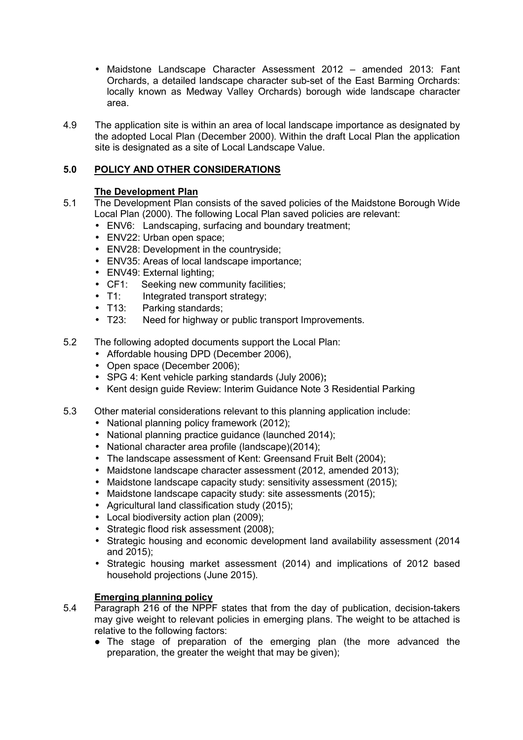- Maidstone Landscape Character Assessment 2012 amended 2013: Fant Orchards, a detailed landscape character sub-set of the East Barming Orchards: locally known as Medway Valley Orchards) borough wide landscape character area.
- 4.9 The application site is within an area of local landscape importance as designated by the adopted Local Plan (December 2000). Within the draft Local Plan the application site is designated as a site of Local Landscape Value.

# **5.0 POLICY AND OTHER CONSIDERATIONS**

# **The Development Plan**

- 5.1 The Development Plan consists of the saved policies of the Maidstone Borough Wide Local Plan (2000). The following Local Plan saved policies are relevant:
	- ENV6: Landscaping, surfacing and boundary treatment;
	- ENV22: Urban open space:
	- ENV28: Development in the countryside;
	- ENV35: Areas of local landscape importance;
	- ENV49: External lighting;
	- CF1: Seeking new community facilities;
	- T1: Integrated transport strategy;
	- T13: Parking standards;
	- T23: Need for highway or public transport Improvements.
- 5.2 The following adopted documents support the Local Plan:
	- Affordable housing DPD (December 2006),
	- Open space (December 2006);
	- SPG 4: Kent vehicle parking standards (July 2006)**;**
	- Kent design guide Review: Interim Guidance Note 3 Residential Parking
- 5.3 Other material considerations relevant to this planning application include:
	- National planning policy framework (2012);
	- National planning practice guidance (launched 2014);
	- National character area profile (landscape)(2014);
	- The landscape assessment of Kent: Greensand Fruit Belt (2004);
	- Maidstone landscape character assessment (2012, amended 2013);
	- Maidstone landscape capacity study: sensitivity assessment (2015);
	- Maidstone landscape capacity study: site assessments (2015);
	- Agricultural land classification study (2015);
	- Local biodiversity action plan (2009);
	- Strategic flood risk assessment (2008);
	- Strategic housing and economic development land availability assessment (2014 and 2015);
	- Strategic housing market assessment (2014) and implications of 2012 based household projections (June 2015).

# **Emerging planning policy**

- 5.4 Paragraph 216 of the NPPF states that from the day of publication, decision-takers may give weight to relevant policies in emerging plans. The weight to be attached is relative to the following factors:
	- The stage of preparation of the emerging plan (the more advanced the preparation, the greater the weight that may be given);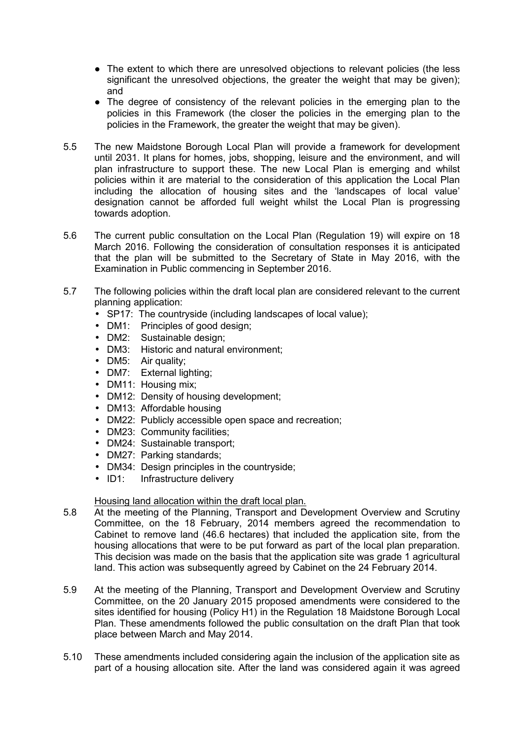- The extent to which there are unresolved objections to relevant policies (the less significant the unresolved objections, the greater the weight that may be given); and
- The degree of consistency of the relevant policies in the emerging plan to the policies in this Framework (the closer the policies in the emerging plan to the policies in the Framework, the greater the weight that may be given).
- 5.5 The new Maidstone Borough Local Plan will provide a framework for development until 2031. It plans for homes, jobs, shopping, leisure and the environment, and will plan infrastructure to support these. The new Local Plan is emerging and whilst policies within it are material to the consideration of this application the Local Plan including the allocation of housing sites and the 'landscapes of local value' designation cannot be afforded full weight whilst the Local Plan is progressing towards adoption.
- 5.6 The current public consultation on the Local Plan (Regulation 19) will expire on 18 March 2016. Following the consideration of consultation responses it is anticipated that the plan will be submitted to the Secretary of State in May 2016, with the Examination in Public commencing in September 2016.
- 5.7 The following policies within the draft local plan are considered relevant to the current planning application:
	- SP17: The countryside (including landscapes of local value);
	- DM1: Principles of good design;
	- DM2: Sustainable design;
	- DM3: Historic and natural environment;
	- DM5: Air quality;
	- DM7: External lighting;
	- DM11: Housing mix;
	- DM12: Density of housing development;
	- DM13: Affordable housing
	- DM22: Publicly accessible open space and recreation;
	- DM23: Community facilities;
	- DM24: Sustainable transport;
	- DM27: Parking standards;
	- DM34: Design principles in the countryside;
	- ID1: Infrastructure delivery

### Housing land allocation within the draft local plan.

- 5.8 At the meeting of the Planning, Transport and Development Overview and Scrutiny Committee, on the 18 February, 2014 members agreed the recommendation to Cabinet to remove land (46.6 hectares) that included the application site, from the housing allocations that were to be put forward as part of the local plan preparation. This decision was made on the basis that the application site was grade 1 agricultural land. This action was subsequently agreed by Cabinet on the 24 February 2014.
- 5.9 At the meeting of the Planning, Transport and Development Overview and Scrutiny Committee, on the 20 January 2015 proposed amendments were considered to the sites identified for housing (Policy H1) in the Regulation 18 Maidstone Borough Local Plan. These amendments followed the public consultation on the draft Plan that took place between March and May 2014.
- 5.10 These amendments included considering again the inclusion of the application site as part of a housing allocation site. After the land was considered again it was agreed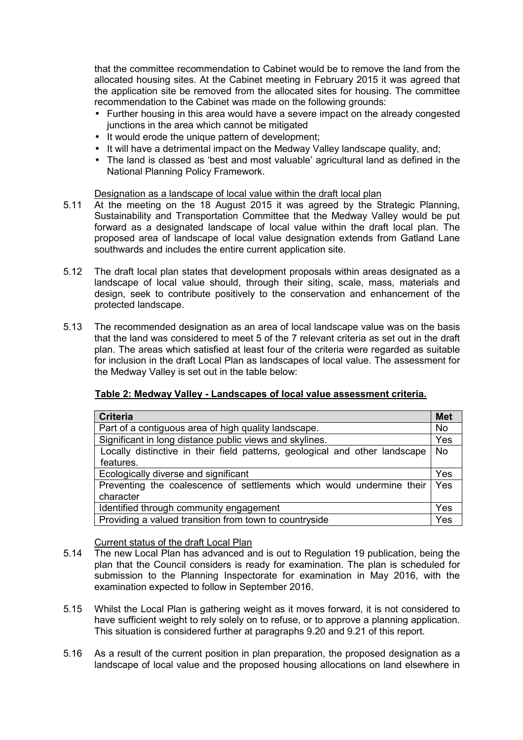that the committee recommendation to Cabinet would be to remove the land from the allocated housing sites. At the Cabinet meeting in February 2015 it was agreed that the application site be removed from the allocated sites for housing. The committee recommendation to the Cabinet was made on the following grounds:

- Further housing in this area would have a severe impact on the already congested junctions in the area which cannot be mitigated
- It would erode the unique pattern of development;
- It will have a detrimental impact on the Medway Valley landscape quality, and;
- The land is classed as 'best and most valuable' agricultural land as defined in the National Planning Policy Framework.

#### Designation as a landscape of local value within the draft local plan

- 5.11 At the meeting on the 18 August 2015 it was agreed by the Strategic Planning, Sustainability and Transportation Committee that the Medway Valley would be put forward as a designated landscape of local value within the draft local plan. The proposed area of landscape of local value designation extends from Gatland Lane southwards and includes the entire current application site.
- 5.12 The draft local plan states that development proposals within areas designated as a landscape of local value should, through their siting, scale, mass, materials and design, seek to contribute positively to the conservation and enhancement of the protected landscape.
- 5.13 The recommended designation as an area of local landscape value was on the basis that the land was considered to meet 5 of the 7 relevant criteria as set out in the draft plan. The areas which satisfied at least four of the criteria were regarded as suitable for inclusion in the draft Local Plan as landscapes of local value. The assessment for the Medway Valley is set out in the table below:

### **Table 2: Medway Valley - Landscapes of local value assessment criteria.**

| <b>Criteria</b>                                                             |           |  |
|-----------------------------------------------------------------------------|-----------|--|
| Part of a contiguous area of high quality landscape.                        |           |  |
| Significant in long distance public views and skylines.                     |           |  |
| Locally distinctive in their field patterns, geological and other landscape | <b>No</b> |  |
| features.                                                                   |           |  |
| Ecologically diverse and significant                                        |           |  |
| Preventing the coalescence of settlements which would undermine their       |           |  |
| character                                                                   |           |  |
| Identified through community engagement                                     |           |  |
| Providing a valued transition from town to countryside                      |           |  |

Current status of the draft Local Plan

- 5.14 The new Local Plan has advanced and is out to Regulation 19 publication, being the plan that the Council considers is ready for examination. The plan is scheduled for submission to the Planning Inspectorate for examination in May 2016, with the examination expected to follow in September 2016.
- 5.15 Whilst the Local Plan is gathering weight as it moves forward, it is not considered to have sufficient weight to rely solely on to refuse, or to approve a planning application. This situation is considered further at paragraphs 9.20 and 9.21 of this report.
- 5.16 As a result of the current position in plan preparation, the proposed designation as a landscape of local value and the proposed housing allocations on land elsewhere in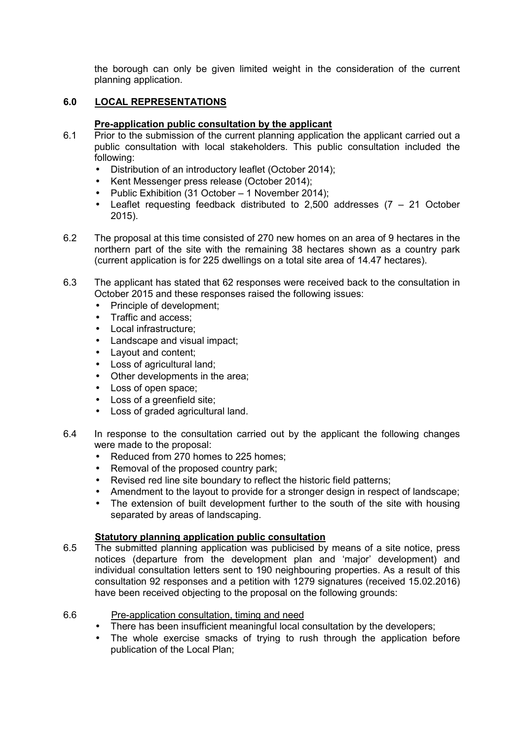the borough can only be given limited weight in the consideration of the current planning application.

# **6.0 LOCAL REPRESENTATIONS**

## **Pre-application public consultation by the applicant**

- 6.1 Prior to the submission of the current planning application the applicant carried out a public consultation with local stakeholders. This public consultation included the following:
	- Distribution of an introductory leaflet (October 2014);
	- Kent Messenger press release (October 2014);
	- Public Exhibition (31 October 1 November 2014);
	- Leaflet requesting feedback distributed to 2,500 addresses  $(7 21)$  October 2015).
- 6.2 The proposal at this time consisted of 270 new homes on an area of 9 hectares in the northern part of the site with the remaining 38 hectares shown as a country park (current application is for 225 dwellings on a total site area of 14.47 hectares).
- 6.3 The applicant has stated that 62 responses were received back to the consultation in October 2015 and these responses raised the following issues:
	- Principle of development:
	- Traffic and access;
	- Local infrastructure;
	- Landscape and visual impact:
	- Layout and content;
	- Loss of agricultural land;
	- Other developments in the area;
	- Loss of open space;
	- Loss of a greenfield site;
	- Loss of graded agricultural land.
- 6.4 In response to the consultation carried out by the applicant the following changes were made to the proposal:
	- Reduced from 270 homes to 225 homes:
	- Removal of the proposed country park:
	- Revised red line site boundary to reflect the historic field patterns;
	- Amendment to the layout to provide for a stronger design in respect of landscape;
	- The extension of built development further to the south of the site with housing separated by areas of landscaping.

# **Statutory planning application public consultation**

- 6.5 The submitted planning application was publicised by means of a site notice, press notices (departure from the development plan and 'major' development) and individual consultation letters sent to 190 neighbouring properties. As a result of this consultation 92 responses and a petition with 1279 signatures (received 15.02.2016) have been received objecting to the proposal on the following grounds:
- 6.6 Pre-application consultation, timing and need
	- There has been insufficient meaningful local consultation by the developers;
	- The whole exercise smacks of trying to rush through the application before publication of the Local Plan;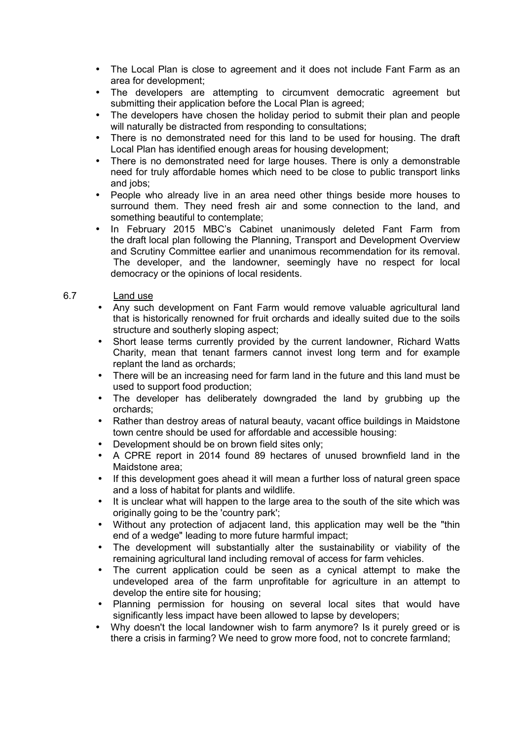- The Local Plan is close to agreement and it does not include Fant Farm as an area for development;
- The developers are attempting to circumvent democratic agreement but submitting their application before the Local Plan is agreed:
- The developers have chosen the holiday period to submit their plan and people will naturally be distracted from responding to consultations;
- There is no demonstrated need for this land to be used for housing. The draft Local Plan has identified enough areas for housing development;
- There is no demonstrated need for large houses. There is only a demonstrable need for truly affordable homes which need to be close to public transport links and jobs;
- People who already live in an area need other things beside more houses to surround them. They need fresh air and some connection to the land, and something beautiful to contemplate;
- In February 2015 MBC's Cabinet unanimously deleted Fant Farm from the draft local plan following the Planning, Transport and Development Overview and Scrutiny Committee earlier and unanimous recommendation for its removal. The developer, and the landowner, seemingly have no respect for local democracy or the opinions of local residents.

# 6.7 Land use

- Any such development on Fant Farm would remove valuable agricultural land that is historically renowned for fruit orchards and ideally suited due to the soils structure and southerly sloping aspect;
- Short lease terms currently provided by the current landowner, Richard Watts Charity, mean that tenant farmers cannot invest long term and for example replant the land as orchards;
- There will be an increasing need for farm land in the future and this land must be used to support food production;
- The developer has deliberately downgraded the land by grubbing up the orchards;
- Rather than destroy areas of natural beauty, vacant office buildings in Maidstone town centre should be used for affordable and accessible housing:
- Development should be on brown field sites only;
- A CPRE report in 2014 found 89 hectares of unused brownfield land in the Maidstone area;
- If this development goes ahead it will mean a further loss of natural green space and a loss of habitat for plants and wildlife.
- It is unclear what will happen to the large area to the south of the site which was originally going to be the 'country park';
- Without any protection of adjacent land, this application may well be the "thin end of a wedge" leading to more future harmful impact;
- The development will substantially alter the sustainability or viability of the remaining agricultural land including removal of access for farm vehicles.
- The current application could be seen as a cynical attempt to make the undeveloped area of the farm unprofitable for agriculture in an attempt to develop the entire site for housing;
- Planning permission for housing on several local sites that would have significantly less impact have been allowed to lapse by developers;
- Why doesn't the local landowner wish to farm anymore? Is it purely greed or is there a crisis in farming? We need to grow more food, not to concrete farmland;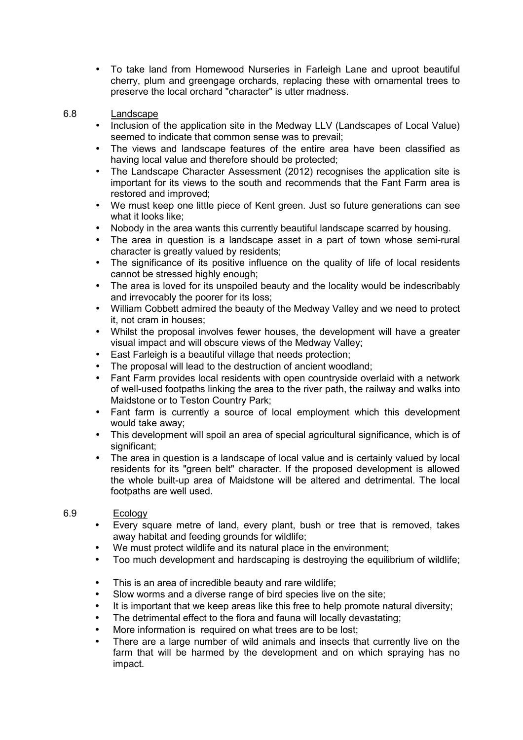- To take land from Homewood Nurseries in Farleigh Lane and uproot beautiful cherry, plum and greengage orchards, replacing these with ornamental trees to preserve the local orchard "character" is utter madness.
- 6.8 Landscape
	- Inclusion of the application site in the Medway LLV (Landscapes of Local Value) seemed to indicate that common sense was to prevail;
	- The views and landscape features of the entire area have been classified as having local value and therefore should be protected;
	- The Landscape Character Assessment (2012) recognises the application site is important for its views to the south and recommends that the Fant Farm area is restored and improved;
	- We must keep one little piece of Kent green. Just so future generations can see what it looks like;
	- Nobody in the area wants this currently beautiful landscape scarred by housing.
	- The area in question is a landscape asset in a part of town whose semi-rural character is greatly valued by residents;
	- The significance of its positive influence on the quality of life of local residents cannot be stressed highly enough;
	- The area is loved for its unspoiled beauty and the locality would be indescribably and irrevocably the poorer for its loss;
	- William Cobbett admired the beauty of the Medway Valley and we need to protect it, not cram in houses;
	- Whilst the proposal involves fewer houses, the development will have a greater visual impact and will obscure views of the Medway Valley;
	- East Farleigh is a beautiful village that needs protection;
	- The proposal will lead to the destruction of ancient woodland;
	- Fant Farm provides local residents with open countryside overlaid with a network of well-used footpaths linking the area to the river path, the railway and walks into Maidstone or to Teston Country Park;
	- Fant farm is currently a source of local employment which this development would take away;
	- This development will spoil an area of special agricultural significance, which is of significant;
	- The area in question is a landscape of local value and is certainly valued by local residents for its "green belt" character. If the proposed development is allowed the whole built-up area of Maidstone will be altered and detrimental. The local footpaths are well used.

# 6.9 Ecology

- Every square metre of land, every plant, bush or tree that is removed, takes away habitat and feeding grounds for wildlife;
- We must protect wildlife and its natural place in the environment;
- Too much development and hardscaping is destroying the equilibrium of wildlife;
- This is an area of incredible beauty and rare wildlife;
- Slow worms and a diverse range of bird species live on the site:
- It is important that we keep areas like this free to help promote natural diversity;
- The detrimental effect to the flora and fauna will locally devastating;
- More information is required on what trees are to be lost;
- There are a large number of wild animals and insects that currently live on the farm that will be harmed by the development and on which spraying has no impact.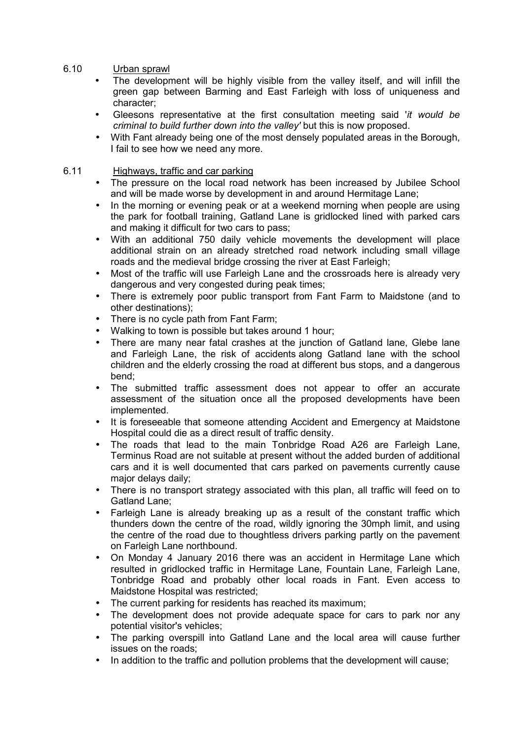- 6.10 Urban sprawl
	- The development will be highly visible from the valley itself, and will infill the green gap between Barming and East Farleigh with loss of uniqueness and character;
	- Gleesons representative at the first consultation meeting said '*it would be criminal to build further down into the valley'* but this is now proposed.
	- With Fant already being one of the most densely populated areas in the Borough, I fail to see how we need any more.

# 6.11 Highways, traffic and car parking

- The pressure on the local road network has been increased by Jubilee School and will be made worse by development in and around Hermitage Lane;
- In the morning or evening peak or at a weekend morning when people are using the park for football training, Gatland Lane is gridlocked lined with parked cars and making it difficult for two cars to pass;
- With an additional 750 daily vehicle movements the development will place additional strain on an already stretched road network including small village roads and the medieval bridge crossing the river at East Farleigh;
- Most of the traffic will use Farleigh Lane and the crossroads here is already very dangerous and very congested during peak times;
- There is extremely poor public transport from Fant Farm to Maidstone (and to other destinations);
- There is no cycle path from Fant Farm;
- Walking to town is possible but takes around 1 hour;
- There are many near fatal crashes at the junction of Gatland lane, Glebe lane and Farleigh Lane, the risk of accidents along Gatland lane with the school children and the elderly crossing the road at different bus stops, and a dangerous bend;
- The submitted traffic assessment does not appear to offer an accurate assessment of the situation once all the proposed developments have been implemented.
- It is foreseeable that someone attending Accident and Emergency at Maidstone Hospital could die as a direct result of traffic density.
- The roads that lead to the main Tonbridge Road A26 are Farleigh Lane, Terminus Road are not suitable at present without the added burden of additional cars and it is well documented that cars parked on pavements currently cause major delays daily;
- There is no transport strategy associated with this plan, all traffic will feed on to Gatland Lane;
- Farleigh Lane is already breaking up as a result of the constant traffic which thunders down the centre of the road, wildly ignoring the 30mph limit, and using the centre of the road due to thoughtless drivers parking partly on the pavement on Farleigh Lane northbound.
- On Monday 4 January 2016 there was an accident in Hermitage Lane which resulted in gridlocked traffic in Hermitage Lane, Fountain Lane, Farleigh Lane, Tonbridge Road and probably other local roads in Fant. Even access to Maidstone Hospital was restricted;
- The current parking for residents has reached its maximum:
- The development does not provide adequate space for cars to park nor any potential visitor's vehicles;
- The parking overspill into Gatland Lane and the local area will cause further issues on the roads;
- In addition to the traffic and pollution problems that the development will cause;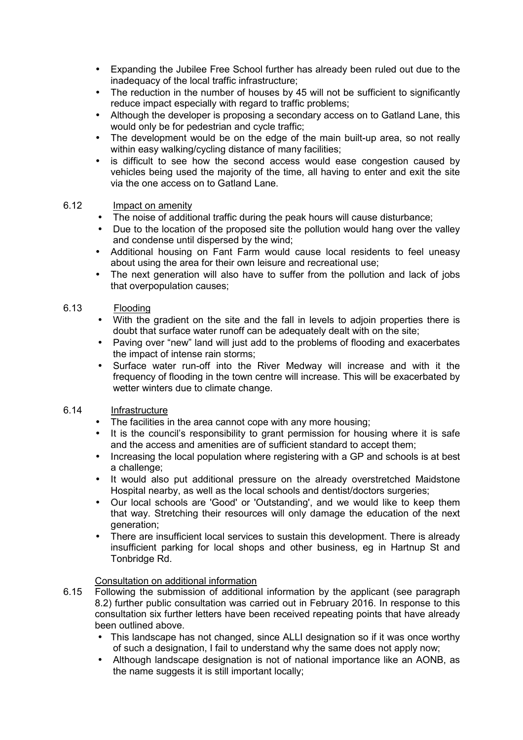- Expanding the Jubilee Free School further has already been ruled out due to the inadequacy of the local traffic infrastructure;
- The reduction in the number of houses by 45 will not be sufficient to significantly reduce impact especially with regard to traffic problems;
- Although the developer is proposing a secondary access on to Gatland Lane, this would only be for pedestrian and cycle traffic;
- The development would be on the edge of the main built-up area, so not really within easy walking/cycling distance of many facilities;
- is difficult to see how the second access would ease congestion caused by vehicles being used the majority of the time, all having to enter and exit the site via the one access on to Gatland Lane.

# 6.12 Impact on amenity

- The noise of additional traffic during the peak hours will cause disturbance;
- Due to the location of the proposed site the pollution would hang over the valley and condense until dispersed by the wind;
- Additional housing on Fant Farm would cause local residents to feel uneasy about using the area for their own leisure and recreational use;
- The next generation will also have to suffer from the pollution and lack of jobs that overpopulation causes;

# 6.13 Flooding

- With the gradient on the site and the fall in levels to adjoin properties there is doubt that surface water runoff can be adequately dealt with on the site;
- Paving over "new" land will just add to the problems of flooding and exacerbates the impact of intense rain storms;
- Surface water run-off into the River Medway will increase and with it the frequency of flooding in the town centre will increase. This will be exacerbated by wetter winters due to climate change.

## 6.14 Infrastructure

- The facilities in the area cannot cope with any more housing;
- It is the council's responsibility to grant permission for housing where it is safe and the access and amenities are of sufficient standard to accept them;
- Increasing the local population where registering with a GP and schools is at best a challenge;
- It would also put additional pressure on the already overstretched Maidstone Hospital nearby, as well as the local schools and dentist/doctors surgeries;
- Our local schools are 'Good' or 'Outstanding', and we would like to keep them that way. Stretching their resources will only damage the education of the next generation;
- There are insufficient local services to sustain this development. There is already insufficient parking for local shops and other business, eg in Hartnup St and Tonbridge Rd.

### Consultation on additional information

- 6.15 Following the submission of additional information by the applicant (see paragraph 8.2) further public consultation was carried out in February 2016. In response to this consultation six further letters have been received repeating points that have already been outlined above.
	- This landscape has not changed, since ALLI designation so if it was once worthy of such a designation, I fail to understand why the same does not apply now;
	- Although landscape designation is not of national importance like an AONB, as the name suggests it is still important locally;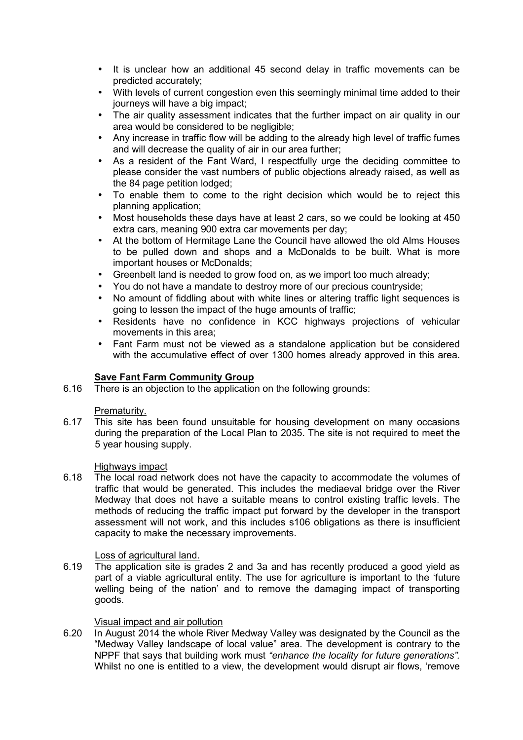- It is unclear how an additional 45 second delay in traffic movements can be predicted accurately;
- With levels of current congestion even this seemingly minimal time added to their iournevs will have a big impact;
- The air quality assessment indicates that the further impact on air quality in our area would be considered to be negligible;
- Any increase in traffic flow will be adding to the already high level of traffic fumes and will decrease the quality of air in our area further;
- As a resident of the Fant Ward, I respectfully urge the deciding committee to please consider the vast numbers of public objections already raised, as well as the 84 page petition lodged;
- To enable them to come to the right decision which would be to reject this planning application;
- Most households these days have at least 2 cars, so we could be looking at 450 extra cars, meaning 900 extra car movements per day;
- At the bottom of Hermitage Lane the Council have allowed the old Alms Houses to be pulled down and shops and a McDonalds to be built. What is more important houses or McDonalds;
- Greenbelt land is needed to grow food on, as we import too much already;
- You do not have a mandate to destroy more of our precious countryside;
- No amount of fiddling about with white lines or altering traffic light sequences is going to lessen the impact of the huge amounts of traffic;
- Residents have no confidence in KCC highways projections of vehicular movements in this area;
- Fant Farm must not be viewed as a standalone application but be considered with the accumulative effect of over 1300 homes already approved in this area.

# **Save Fant Farm Community Group**

6.16 There is an objection to the application on the following grounds:

### Prematurity.

6.17 This site has been found unsuitable for housing development on many occasions during the preparation of the Local Plan to 2035. The site is not required to meet the 5 year housing supply.

### Highways impact

6.18 The local road network does not have the capacity to accommodate the volumes of traffic that would be generated. This includes the mediaeval bridge over the River Medway that does not have a suitable means to control existing traffic levels. The methods of reducing the traffic impact put forward by the developer in the transport assessment will not work, and this includes s106 obligations as there is insufficient capacity to make the necessary improvements.

Loss of agricultural land.<br>6.19 The application site is go The application site is grades 2 and 3a and has recently produced a good yield as part of a viable agricultural entity. The use for agriculture is important to the 'future welling being of the nation' and to remove the damaging impact of transporting goods.

### Visual impact and air pollution

6.20 In August 2014 the whole River Medway Valley was designated by the Council as the "Medway Valley landscape of local value" area. The development is contrary to the NPPF that says that building work must *"enhance the locality for future generations".* Whilst no one is entitled to a view, the development would disrupt air flows, 'remove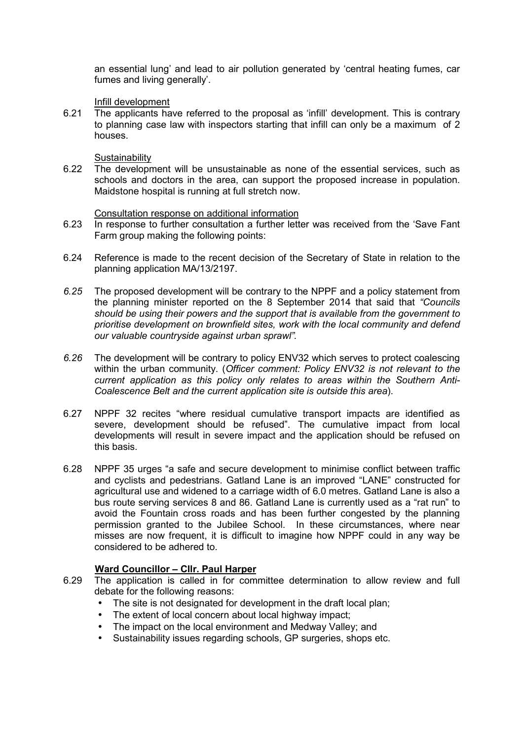an essential lung' and lead to air pollution generated by 'central heating fumes, car fumes and living generally'.

#### Infill development

6.21 The applicants have referred to the proposal as 'infill' development. This is contrary to planning case law with inspectors starting that infill can only be a maximum of 2 houses.

# **Sustainability**

6.22 The development will be unsustainable as none of the essential services, such as schools and doctors in the area, can support the proposed increase in population. Maidstone hospital is running at full stretch now.

#### Consultation response on additional information

- 6.23 In response to further consultation a further letter was received from the 'Save Fant Farm group making the following points:
- 6.24 Reference is made to the recent decision of the Secretary of State in relation to the planning application MA/13/2197.
- *6.25* The proposed development will be contrary to the NPPF and a policy statement from the planning minister reported on the 8 September 2014 that said that *"Councils should be using their powers and the support that is available from the government to prioritise development on brownfield sites, work with the local community and defend our valuable countryside against urban sprawl".*
- *6.26* The development will be contrary to policy ENV32 which serves to protect coalescing within the urban community. (*Officer comment: Policy ENV32 is not relevant to the current application as this policy only relates to areas within the Southern Anti-Coalescence Belt and the current application site is outside this area*).
- 6.27 NPPF 32 recites "where residual cumulative transport impacts are identified as severe, development should be refused". The cumulative impact from local developments will result in severe impact and the application should be refused on this basis.
- 6.28 NPPF 35 urges "a safe and secure development to minimise conflict between traffic and cyclists and pedestrians. Gatland Lane is an improved "LANE" constructed for agricultural use and widened to a carriage width of 6.0 metres. Gatland Lane is also a bus route serving services 8 and 86. Gatland Lane is currently used as a "rat run" to avoid the Fountain cross roads and has been further congested by the planning permission granted to the Jubilee School. In these circumstances, where near misses are now frequent, it is difficult to imagine how NPPF could in any way be considered to be adhered to.

### **Ward Councillor – Cllr. Paul Harper**

- 6.29 The application is called in for committee determination to allow review and full debate for the following reasons:
	- The site is not designated for development in the draft local plan:
	- The extent of local concern about local highway impact;
	- The impact on the local environment and Medway Valley; and
	- Sustainability issues regarding schools, GP surgeries, shops etc.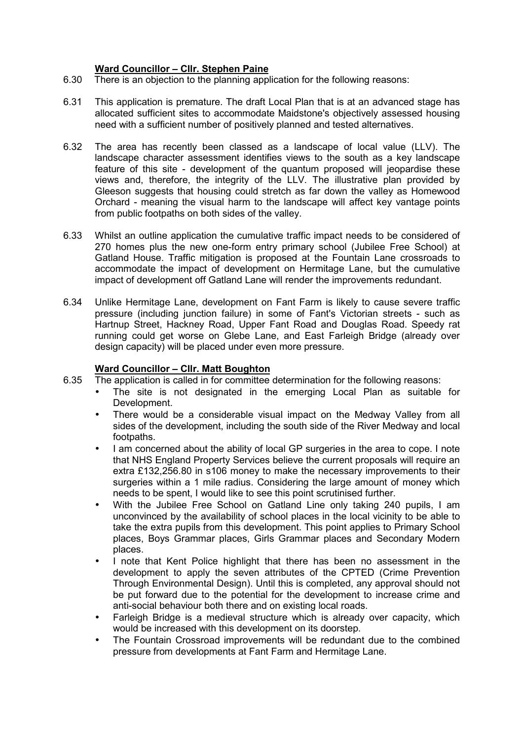# **Ward Councillor – Cllr. Stephen Paine**

- 6.30 There is an objection to the planning application for the following reasons:
- 6.31 This application is premature. The draft Local Plan that is at an advanced stage has allocated sufficient sites to accommodate Maidstone's objectively assessed housing need with a sufficient number of positively planned and tested alternatives.
- 6.32 The area has recently been classed as a landscape of local value (LLV). The landscape character assessment identifies views to the south as a key landscape feature of this site - development of the quantum proposed will jeopardise these views and, therefore, the integrity of the LLV. The illustrative plan provided by Gleeson suggests that housing could stretch as far down the valley as Homewood Orchard - meaning the visual harm to the landscape will affect key vantage points from public footpaths on both sides of the valley.
- 6.33 Whilst an outline application the cumulative traffic impact needs to be considered of 270 homes plus the new one-form entry primary school (Jubilee Free School) at Gatland House. Traffic mitigation is proposed at the Fountain Lane crossroads to accommodate the impact of development on Hermitage Lane, but the cumulative impact of development off Gatland Lane will render the improvements redundant.
- 6.34 Unlike Hermitage Lane, development on Fant Farm is likely to cause severe traffic pressure (including junction failure) in some of Fant's Victorian streets - such as Hartnup Street, Hackney Road, Upper Fant Road and Douglas Road. Speedy rat running could get worse on Glebe Lane, and East Farleigh Bridge (already over design capacity) will be placed under even more pressure.

## **Ward Councillor – Cllr. Matt Boughton**

- 6.35 The application is called in for committee determination for the following reasons:
	- The site is not designated in the emerging Local Plan as suitable for Development.
	- There would be a considerable visual impact on the Medway Valley from all sides of the development, including the south side of the River Medway and local footpaths.
	- I am concerned about the ability of local GP surgeries in the area to cope. I note that NHS England Property Services believe the current proposals will require an extra £132,256.80 in s106 money to make the necessary improvements to their surgeries within a 1 mile radius. Considering the large amount of money which needs to be spent, I would like to see this point scrutinised further.
	- With the Jubilee Free School on Gatland Line only taking 240 pupils, I am unconvinced by the availability of school places in the local vicinity to be able to take the extra pupils from this development. This point applies to Primary School places, Boys Grammar places, Girls Grammar places and Secondary Modern places.
	- I note that Kent Police highlight that there has been no assessment in the development to apply the seven attributes of the CPTED (Crime Prevention Through Environmental Design). Until this is completed, any approval should not be put forward due to the potential for the development to increase crime and anti-social behaviour both there and on existing local roads.
	- Farleigh Bridge is a medieval structure which is already over capacity, which would be increased with this development on its doorstep.
	- The Fountain Crossroad improvements will be redundant due to the combined pressure from developments at Fant Farm and Hermitage Lane.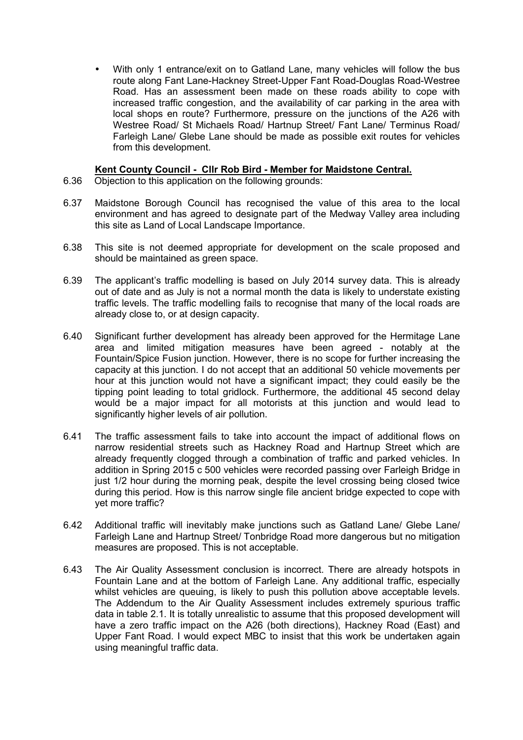• With only 1 entrance/exit on to Gatland Lane, many vehicles will follow the bus route along Fant Lane-Hackney Street-Upper Fant Road-Douglas Road-Westree Road. Has an assessment been made on these roads ability to cope with increased traffic congestion, and the availability of car parking in the area with local shops en route? Furthermore, pressure on the junctions of the A26 with Westree Road/ St Michaels Road/ Hartnup Street/ Fant Lane/ Terminus Road/ Farleigh Lane/ Glebe Lane should be made as possible exit routes for vehicles from this development.

## **Kent County Council - Cllr Rob Bird - Member for Maidstone Central.**

- 6.36 Objection to this application on the following grounds:
- 6.37 Maidstone Borough Council has recognised the value of this area to the local environment and has agreed to designate part of the Medway Valley area including this site as Land of Local Landscape Importance.
- 6.38 This site is not deemed appropriate for development on the scale proposed and should be maintained as green space.
- 6.39 The applicant's traffic modelling is based on July 2014 survey data. This is already out of date and as July is not a normal month the data is likely to understate existing traffic levels. The traffic modelling fails to recognise that many of the local roads are already close to, or at design capacity.
- 6.40 Significant further development has already been approved for the Hermitage Lane area and limited mitigation measures have been agreed - notably at the Fountain/Spice Fusion junction. However, there is no scope for further increasing the capacity at this junction. I do not accept that an additional 50 vehicle movements per hour at this junction would not have a significant impact; they could easily be the tipping point leading to total gridlock. Furthermore, the additional 45 second delay would be a major impact for all motorists at this junction and would lead to significantly higher levels of air pollution.
- 6.41 The traffic assessment fails to take into account the impact of additional flows on narrow residential streets such as Hackney Road and Hartnup Street which are already frequently clogged through a combination of traffic and parked vehicles. In addition in Spring 2015 c 500 vehicles were recorded passing over Farleigh Bridge in just 1/2 hour during the morning peak, despite the level crossing being closed twice during this period. How is this narrow single file ancient bridge expected to cope with yet more traffic?
- 6.42 Additional traffic will inevitably make junctions such as Gatland Lane/ Glebe Lane/ Farleigh Lane and Hartnup Street/ Tonbridge Road more dangerous but no mitigation measures are proposed. This is not acceptable.
- 6.43 The Air Quality Assessment conclusion is incorrect. There are already hotspots in Fountain Lane and at the bottom of Farleigh Lane. Any additional traffic, especially whilst vehicles are queuing, is likely to push this pollution above acceptable levels. The Addendum to the Air Quality Assessment includes extremely spurious traffic data in table 2.1. It is totally unrealistic to assume that this proposed development will have a zero traffic impact on the A26 (both directions), Hackney Road (East) and Upper Fant Road. I would expect MBC to insist that this work be undertaken again using meaningful traffic data.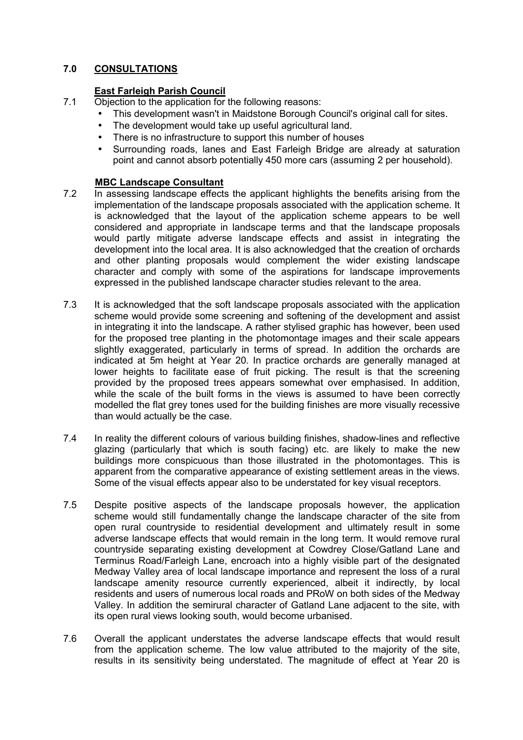# **7.0 CONSULTATIONS**

# **East Farleigh Parish Council**

- 7.1 Objection to the application for the following reasons:
	- This development wasn't in Maidstone Borough Council's original call for sites.
	- The development would take up useful agricultural land.
	- There is no infrastructure to support this number of houses
	- Surrounding roads, lanes and East Farleigh Bridge are already at saturation point and cannot absorb potentially 450 more cars (assuming 2 per household).

### **MBC Landscape Consultant**

- 7.2 In assessing landscape effects the applicant highlights the benefits arising from the implementation of the landscape proposals associated with the application scheme. It is acknowledged that the layout of the application scheme appears to be well considered and appropriate in landscape terms and that the landscape proposals would partly mitigate adverse landscape effects and assist in integrating the development into the local area. It is also acknowledged that the creation of orchards and other planting proposals would complement the wider existing landscape character and comply with some of the aspirations for landscape improvements expressed in the published landscape character studies relevant to the area.
- 7.3 It is acknowledged that the soft landscape proposals associated with the application scheme would provide some screening and softening of the development and assist in integrating it into the landscape. A rather stylised graphic has however, been used for the proposed tree planting in the photomontage images and their scale appears slightly exaggerated, particularly in terms of spread. In addition the orchards are indicated at 5m height at Year 20. In practice orchards are generally managed at lower heights to facilitate ease of fruit picking. The result is that the screening provided by the proposed trees appears somewhat over emphasised. In addition, while the scale of the built forms in the views is assumed to have been correctly modelled the flat grey tones used for the building finishes are more visually recessive than would actually be the case.
- 7.4 In reality the different colours of various building finishes, shadow-lines and reflective glazing (particularly that which is south facing) etc. are likely to make the new buildings more conspicuous than those illustrated in the photomontages. This is apparent from the comparative appearance of existing settlement areas in the views. Some of the visual effects appear also to be understated for key visual receptors.
- 7.5 Despite positive aspects of the landscape proposals however, the application scheme would still fundamentally change the landscape character of the site from open rural countryside to residential development and ultimately result in some adverse landscape effects that would remain in the long term. It would remove rural countryside separating existing development at Cowdrey Close/Gatland Lane and Terminus Road/Farleigh Lane, encroach into a highly visible part of the designated Medway Valley area of local landscape importance and represent the loss of a rural landscape amenity resource currently experienced, albeit it indirectly, by local residents and users of numerous local roads and PRoW on both sides of the Medway Valley. In addition the semirural character of Gatland Lane adjacent to the site, with its open rural views looking south, would become urbanised.
- 7.6 Overall the applicant understates the adverse landscape effects that would result from the application scheme. The low value attributed to the majority of the site, results in its sensitivity being understated. The magnitude of effect at Year 20 is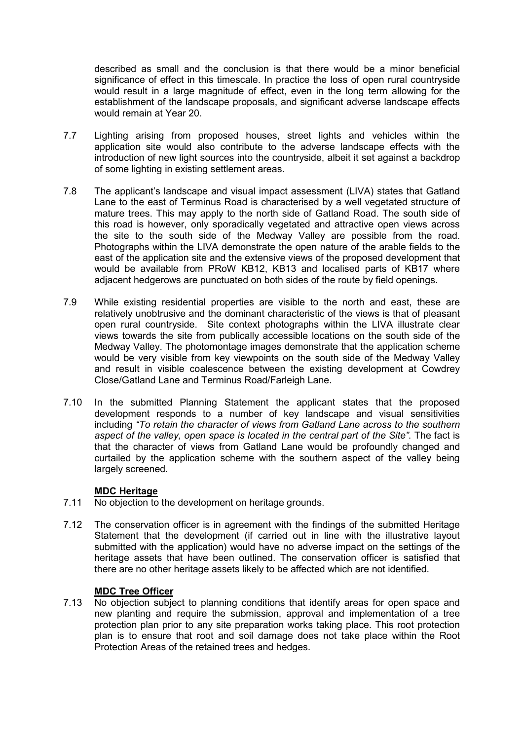described as small and the conclusion is that there would be a minor beneficial significance of effect in this timescale. In practice the loss of open rural countryside would result in a large magnitude of effect, even in the long term allowing for the establishment of the landscape proposals, and significant adverse landscape effects would remain at Year 20.

- 7.7 Lighting arising from proposed houses, street lights and vehicles within the application site would also contribute to the adverse landscape effects with the introduction of new light sources into the countryside, albeit it set against a backdrop of some lighting in existing settlement areas.
- 7.8 The applicant's landscape and visual impact assessment (LIVA) states that Gatland Lane to the east of Terminus Road is characterised by a well vegetated structure of mature trees. This may apply to the north side of Gatland Road. The south side of this road is however, only sporadically vegetated and attractive open views across the site to the south side of the Medway Valley are possible from the road. Photographs within the LIVA demonstrate the open nature of the arable fields to the east of the application site and the extensive views of the proposed development that would be available from PRoW KB12, KB13 and localised parts of KB17 where adjacent hedgerows are punctuated on both sides of the route by field openings.
- 7.9 While existing residential properties are visible to the north and east, these are relatively unobtrusive and the dominant characteristic of the views is that of pleasant open rural countryside. Site context photographs within the LIVA illustrate clear views towards the site from publically accessible locations on the south side of the Medway Valley. The photomontage images demonstrate that the application scheme would be very visible from key viewpoints on the south side of the Medway Valley and result in visible coalescence between the existing development at Cowdrey Close/Gatland Lane and Terminus Road/Farleigh Lane.
- 7.10 In the submitted Planning Statement the applicant states that the proposed development responds to a number of key landscape and visual sensitivities including *"To retain the character of views from Gatland Lane across to the southern aspect of the valley, open space is located in the central part of the Site"*. The fact is that the character of views from Gatland Lane would be profoundly changed and curtailed by the application scheme with the southern aspect of the valley being largely screened.

### **MDC Heritage**

- 7.11 No objection to the development on heritage grounds.
- 7.12 The conservation officer is in agreement with the findings of the submitted Heritage Statement that the development (if carried out in line with the illustrative layout submitted with the application) would have no adverse impact on the settings of the heritage assets that have been outlined. The conservation officer is satisfied that there are no other heritage assets likely to be affected which are not identified.

### **MDC Tree Officer**

7.13 No objection subject to planning conditions that identify areas for open space and new planting and require the submission, approval and implementation of a tree protection plan prior to any site preparation works taking place. This root protection plan is to ensure that root and soil damage does not take place within the Root Protection Areas of the retained trees and hedges.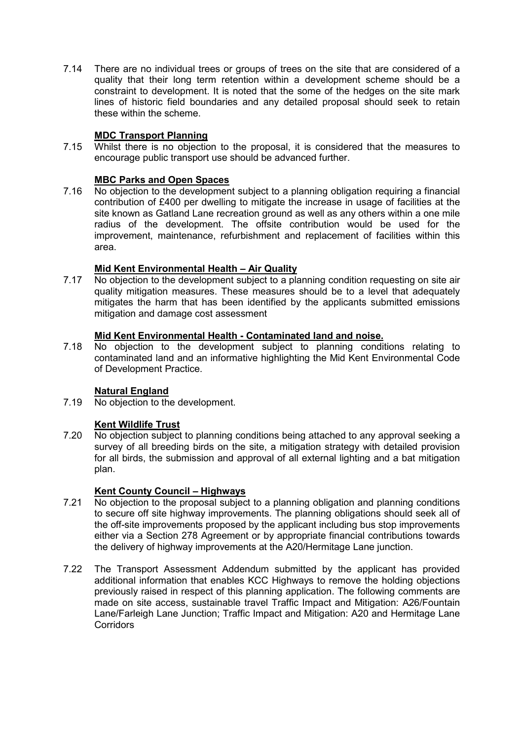7.14 There are no individual trees or groups of trees on the site that are considered of a quality that their long term retention within a development scheme should be a constraint to development. It is noted that the some of the hedges on the site mark lines of historic field boundaries and any detailed proposal should seek to retain these within the scheme.

# **MDC Transport Planning**

7.15 Whilst there is no objection to the proposal, it is considered that the measures to encourage public transport use should be advanced further.

# **MBC Parks and Open Spaces**

7.16 No objection to the development subject to a planning obligation requiring a financial contribution of £400 per dwelling to mitigate the increase in usage of facilities at the site known as Gatland Lane recreation ground as well as any others within a one mile radius of the development. The offsite contribution would be used for the improvement, maintenance, refurbishment and replacement of facilities within this area.

# **Mid Kent Environmental Health – Air Quality**

7.17 No objection to the development subject to a planning condition requesting on site air quality mitigation measures. These measures should be to a level that adequately mitigates the harm that has been identified by the applicants submitted emissions mitigation and damage cost assessment

# **Mid Kent Environmental Health - Contaminated land and noise.**

7.18 No objection to the development subject to planning conditions relating to contaminated land and an informative highlighting the Mid Kent Environmental Code of Development Practice.

# **Natural England**

7.19 No objection to the development.

# **Kent Wildlife Trust**

7.20 No objection subject to planning conditions being attached to any approval seeking a survey of all breeding birds on the site, a mitigation strategy with detailed provision for all birds, the submission and approval of all external lighting and a bat mitigation plan.

# **Kent County Council – Highways**

- 7.21 No objection to the proposal subject to a planning obligation and planning conditions to secure off site highway improvements. The planning obligations should seek all of the off-site improvements proposed by the applicant including bus stop improvements either via a Section 278 Agreement or by appropriate financial contributions towards the delivery of highway improvements at the A20/Hermitage Lane junction.
- 7.22 The Transport Assessment Addendum submitted by the applicant has provided additional information that enables KCC Highways to remove the holding objections previously raised in respect of this planning application. The following comments are made on site access, sustainable travel Traffic Impact and Mitigation: A26/Fountain Lane/Farleigh Lane Junction; Traffic Impact and Mitigation: A20 and Hermitage Lane Corridors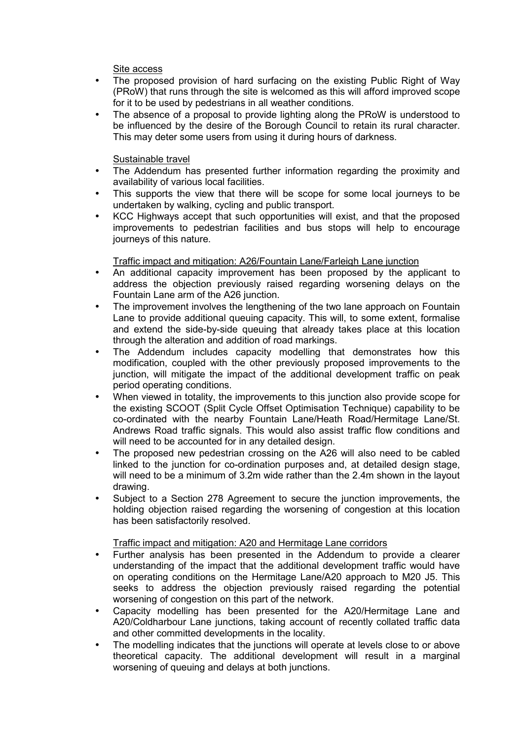Site access

- The proposed provision of hard surfacing on the existing Public Right of Way (PRoW) that runs through the site is welcomed as this will afford improved scope for it to be used by pedestrians in all weather conditions.
- The absence of a proposal to provide lighting along the PRoW is understood to be influenced by the desire of the Borough Council to retain its rural character. This may deter some users from using it during hours of darkness.

## Sustainable travel

- The Addendum has presented further information regarding the proximity and availability of various local facilities.
- This supports the view that there will be scope for some local journeys to be undertaken by walking, cycling and public transport.
- KCC Highways accept that such opportunities will exist, and that the proposed improvements to pedestrian facilities and bus stops will help to encourage journeys of this nature.

# Traffic impact and mitigation: A26/Fountain Lane/Farleigh Lane junction

- An additional capacity improvement has been proposed by the applicant to address the objection previously raised regarding worsening delays on the Fountain Lane arm of the A26 junction.
- The improvement involves the lengthening of the two lane approach on Fountain Lane to provide additional queuing capacity. This will, to some extent, formalise and extend the side-by-side queuing that already takes place at this location through the alteration and addition of road markings.
- The Addendum includes capacity modelling that demonstrates how this modification, coupled with the other previously proposed improvements to the junction, will mitigate the impact of the additional development traffic on peak period operating conditions.
- When viewed in totality, the improvements to this junction also provide scope for the existing SCOOT (Split Cycle Offset Optimisation Technique) capability to be co-ordinated with the nearby Fountain Lane/Heath Road/Hermitage Lane/St. Andrews Road traffic signals. This would also assist traffic flow conditions and will need to be accounted for in any detailed design.
- The proposed new pedestrian crossing on the A26 will also need to be cabled linked to the junction for co-ordination purposes and, at detailed design stage, will need to be a minimum of 3.2m wide rather than the 2.4m shown in the layout drawing.
- Subject to a Section 278 Agreement to secure the junction improvements, the holding objection raised regarding the worsening of congestion at this location has been satisfactorily resolved.

### Traffic impact and mitigation: A20 and Hermitage Lane corridors

- Further analysis has been presented in the Addendum to provide a clearer understanding of the impact that the additional development traffic would have on operating conditions on the Hermitage Lane/A20 approach to M20 J5. This seeks to address the objection previously raised regarding the potential worsening of congestion on this part of the network.
- Capacity modelling has been presented for the A20/Hermitage Lane and A20/Coldharbour Lane junctions, taking account of recently collated traffic data and other committed developments in the locality.
- The modelling indicates that the junctions will operate at levels close to or above theoretical capacity. The additional development will result in a marginal worsening of queuing and delays at both junctions.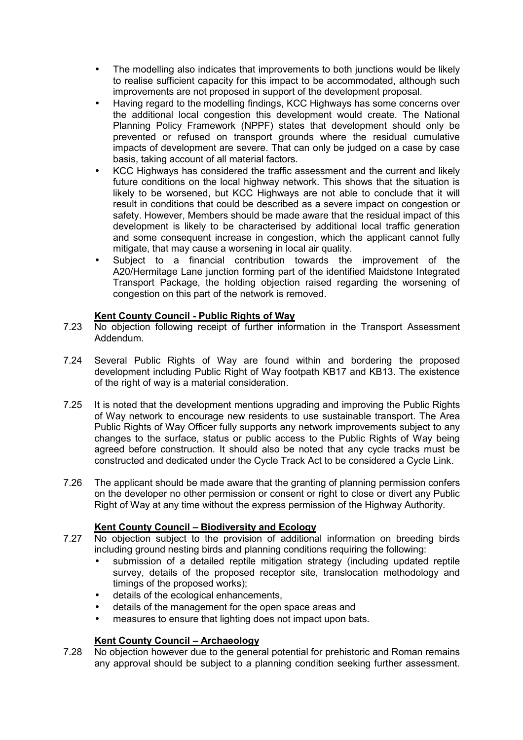- The modelling also indicates that improvements to both junctions would be likely to realise sufficient capacity for this impact to be accommodated, although such improvements are not proposed in support of the development proposal.
- Having regard to the modelling findings, KCC Highways has some concerns over the additional local congestion this development would create. The National Planning Policy Framework (NPPF) states that development should only be prevented or refused on transport grounds where the residual cumulative impacts of development are severe. That can only be judged on a case by case basis, taking account of all material factors.
- KCC Highways has considered the traffic assessment and the current and likely future conditions on the local highway network. This shows that the situation is likely to be worsened, but KCC Highways are not able to conclude that it will result in conditions that could be described as a severe impact on congestion or safety. However, Members should be made aware that the residual impact of this development is likely to be characterised by additional local traffic generation and some consequent increase in congestion, which the applicant cannot fully mitigate, that may cause a worsening in local air quality.
- Subject to a financial contribution towards the improvement of the A20/Hermitage Lane junction forming part of the identified Maidstone Integrated Transport Package, the holding objection raised regarding the worsening of congestion on this part of the network is removed.

# **Kent County Council - Public Rights of Way**

- 7.23 No objection following receipt of further information in the Transport Assessment Addendum.
- 7.24 Several Public Rights of Way are found within and bordering the proposed development including Public Right of Way footpath KB17 and KB13. The existence of the right of way is a material consideration.
- 7.25 It is noted that the development mentions upgrading and improving the Public Rights of Way network to encourage new residents to use sustainable transport. The Area Public Rights of Way Officer fully supports any network improvements subject to any changes to the surface, status or public access to the Public Rights of Way being agreed before construction. It should also be noted that any cycle tracks must be constructed and dedicated under the Cycle Track Act to be considered a Cycle Link.
- 7.26 The applicant should be made aware that the granting of planning permission confers on the developer no other permission or consent or right to close or divert any Public Right of Way at any time without the express permission of the Highway Authority.

# **Kent County Council – Biodiversity and Ecology**

- 7.27 No objection subject to the provision of additional information on breeding birds including ground nesting birds and planning conditions requiring the following:
	- submission of a detailed reptile mitigation strategy (including updated reptile survey, details of the proposed receptor site, translocation methodology and timings of the proposed works);
	- details of the ecological enhancements.
	- details of the management for the open space areas and
	- measures to ensure that lighting does not impact upon bats.

# **Kent County Council – Archaeology**

7.28 No objection however due to the general potential for prehistoric and Roman remains any approval should be subject to a planning condition seeking further assessment.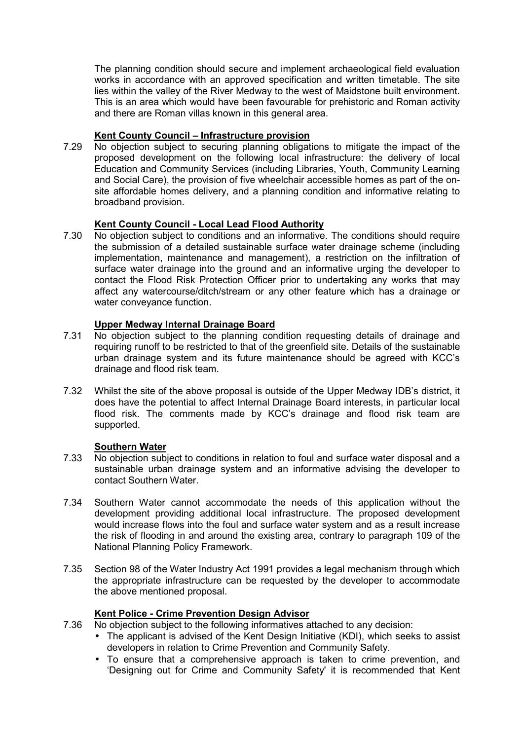The planning condition should secure and implement archaeological field evaluation works in accordance with an approved specification and written timetable. The site lies within the valley of the River Medway to the west of Maidstone built environment. This is an area which would have been favourable for prehistoric and Roman activity and there are Roman villas known in this general area.

## **Kent County Council – Infrastructure provision**

7.29 No objection subject to securing planning obligations to mitigate the impact of the proposed development on the following local infrastructure: the delivery of local Education and Community Services (including Libraries, Youth, Community Learning and Social Care), the provision of five wheelchair accessible homes as part of the onsite affordable homes delivery, and a planning condition and informative relating to broadband provision.

# **Kent County Council - Local Lead Flood Authority**

7.30 No objection subject to conditions and an informative. The conditions should require the submission of a detailed sustainable surface water drainage scheme (including implementation, maintenance and management), a restriction on the infiltration of surface water drainage into the ground and an informative urging the developer to contact the Flood Risk Protection Officer prior to undertaking any works that may affect any watercourse/ditch/stream or any other feature which has a drainage or water conveyance function.

# **Upper Medway Internal Drainage Board**

- 7.31 No objection subject to the planning condition requesting details of drainage and requiring runoff to be restricted to that of the greenfield site. Details of the sustainable urban drainage system and its future maintenance should be agreed with KCC's drainage and flood risk team.
- 7.32 Whilst the site of the above proposal is outside of the Upper Medway IDB's district, it does have the potential to affect Internal Drainage Board interests, in particular local flood risk. The comments made by KCC's drainage and flood risk team are supported.

### **Southern Water**

- 7.33 No objection subject to conditions in relation to foul and surface water disposal and a sustainable urban drainage system and an informative advising the developer to contact Southern Water.
- 7.34 Southern Water cannot accommodate the needs of this application without the development providing additional local infrastructure. The proposed development would increase flows into the foul and surface water system and as a result increase the risk of flooding in and around the existing area, contrary to paragraph 109 of the National Planning Policy Framework.
- 7.35 Section 98 of the Water Industry Act 1991 provides a legal mechanism through which the appropriate infrastructure can be requested by the developer to accommodate the above mentioned proposal.

# **Kent Police - Crime Prevention Design Advisor**

- 7.36 No objection subject to the following informatives attached to any decision:
	- The applicant is advised of the Kent Design Initiative (KDI), which seeks to assist developers in relation to Crime Prevention and Community Safety.
	- To ensure that a comprehensive approach is taken to crime prevention, and 'Designing out for Crime and Community Safety' it is recommended that Kent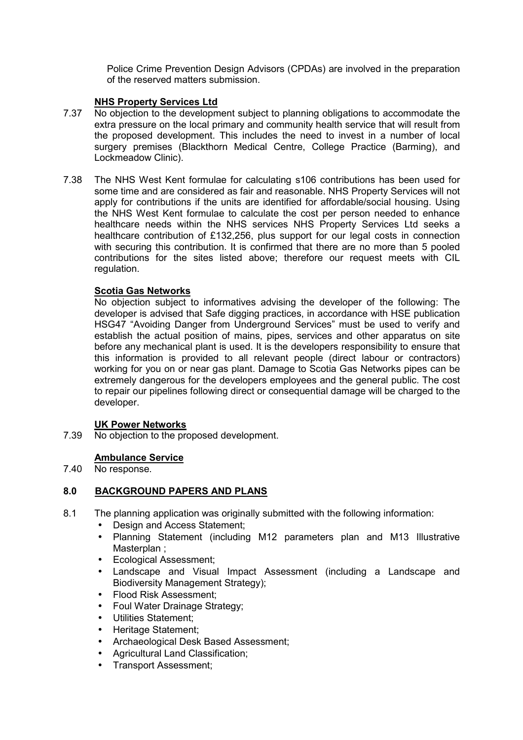Police Crime Prevention Design Advisors (CPDAs) are involved in the preparation of the reserved matters submission.

## **NHS Property Services Ltd**

- 7.37 No objection to the development subject to planning obligations to accommodate the extra pressure on the local primary and community health service that will result from the proposed development. This includes the need to invest in a number of local surgery premises (Blackthorn Medical Centre, College Practice (Barming), and Lockmeadow Clinic).
- 7.38 The NHS West Kent formulae for calculating s106 contributions has been used for some time and are considered as fair and reasonable. NHS Property Services will not apply for contributions if the units are identified for affordable/social housing. Using the NHS West Kent formulae to calculate the cost per person needed to enhance healthcare needs within the NHS services NHS Property Services Ltd seeks a healthcare contribution of £132,256, plus support for our legal costs in connection with securing this contribution. It is confirmed that there are no more than 5 pooled contributions for the sites listed above; therefore our request meets with CIL regulation.

## **Scotia Gas Networks**

No objection subject to informatives advising the developer of the following: The developer is advised that Safe digging practices, in accordance with HSE publication HSG47 "Avoiding Danger from Underground Services" must be used to verify and establish the actual position of mains, pipes, services and other apparatus on site before any mechanical plant is used. It is the developers responsibility to ensure that this information is provided to all relevant people (direct labour or contractors) working for you on or near gas plant. Damage to Scotia Gas Networks pipes can be extremely dangerous for the developers employees and the general public. The cost to repair our pipelines following direct or consequential damage will be charged to the developer.

### **UK Power Networks**

7.39 No objection to the proposed development.

# **Ambulance Service**

7.40 No response.

### **8.0 BACKGROUND PAPERS AND PLANS**

- 8.1 The planning application was originally submitted with the following information:
	- Design and Access Statement:
	- Planning Statement (including M12 parameters plan and M13 Illustrative Masterplan ;
	- Ecological Assessment;
	- Landscape and Visual Impact Assessment (including a Landscape and Biodiversity Management Strategy);
	- Flood Risk Assessment:
	- Foul Water Drainage Strategy;
	- Utilities Statement;
	- Heritage Statement;
	- Archaeological Desk Based Assessment;
	- Agricultural Land Classification;
	- Transport Assessment;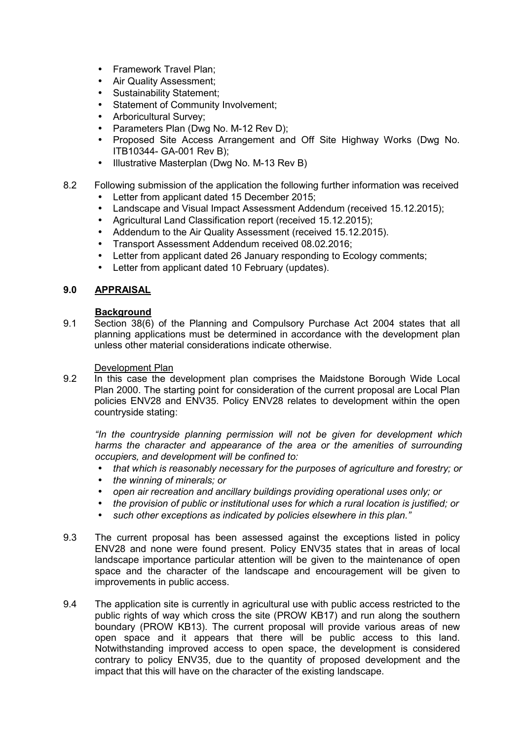- Framework Travel Plan;
- Air Quality Assessment;
- Sustainability Statement;
- Statement of Community Involvement;
- Arboricultural Survey;
- Parameters Plan (Dwg No. M-12 Rev D);
- Proposed Site Access Arrangement and Off Site Highway Works (Dwg No. ITB10344- GA-001 Rev B);
- Illustrative Masterplan (Dwg No. M-13 Rev B)
- 8.2 Following submission of the application the following further information was received
	- Letter from applicant dated 15 December 2015;
	- Landscape and Visual Impact Assessment Addendum (received 15.12.2015);
	- Agricultural Land Classification report (received 15.12.2015);
	- Addendum to the Air Quality Assessment (received 15.12.2015).
	- Transport Assessment Addendum received 08.02.2016;
	- Letter from applicant dated 26 January responding to Ecology comments;
	- Letter from applicant dated 10 February (updates).

### **9.0 APPRAISAL**

#### **Background**

9.1 Section 38(6) of the Planning and Compulsory Purchase Act 2004 states that all planning applications must be determined in accordance with the development plan unless other material considerations indicate otherwise.

#### Development Plan

9.2 In this case the development plan comprises the Maidstone Borough Wide Local Plan 2000. The starting point for consideration of the current proposal are Local Plan policies ENV28 and ENV35. Policy ENV28 relates to development within the open countryside stating:

*"In the countryside planning permission will not be given for development which harms the character and appearance of the area or the amenities of surrounding occupiers, and development will be confined to:*

- *that which is reasonably necessary for the purposes of agriculture and forestry; or*
- *the winning of minerals; or*
- *open air recreation and ancillary buildings providing operational uses only; or*
- *the provision of public or institutional uses for which a rural location is justified; or*
- *such other exceptions as indicated by policies elsewhere in this plan."*
- 9.3 The current proposal has been assessed against the exceptions listed in policy ENV28 and none were found present. Policy ENV35 states that in areas of local landscape importance particular attention will be given to the maintenance of open space and the character of the landscape and encouragement will be given to improvements in public access.
- 9.4 The application site is currently in agricultural use with public access restricted to the public rights of way which cross the site (PROW KB17) and run along the southern boundary (PROW KB13). The current proposal will provide various areas of new open space and it appears that there will be public access to this land. Notwithstanding improved access to open space, the development is considered contrary to policy ENV35, due to the quantity of proposed development and the impact that this will have on the character of the existing landscape.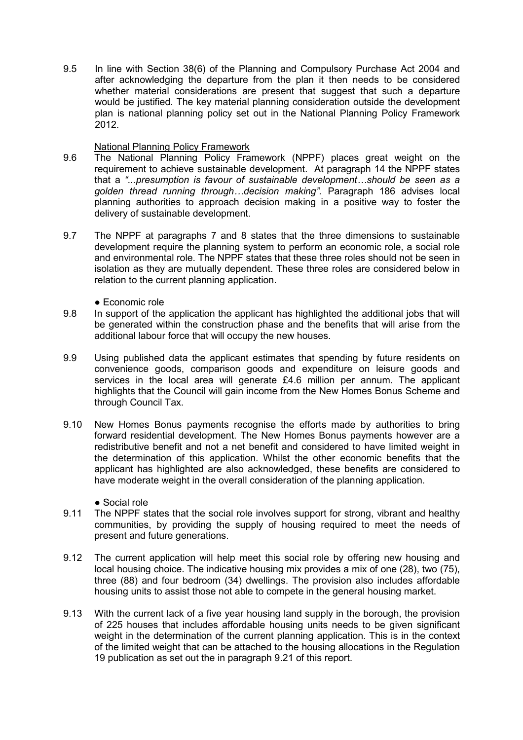9.5 In line with Section 38(6) of the Planning and Compulsory Purchase Act 2004 and after acknowledging the departure from the plan it then needs to be considered whether material considerations are present that suggest that such a departure would be justified. The key material planning consideration outside the development plan is national planning policy set out in the National Planning Policy Framework 2012.

### National Planning Policy Framework

- 9.6 The National Planning Policy Framework (NPPF) places great weight on the requirement to achieve sustainable development. At paragraph 14 the NPPF states that a *"...presumption is favour of sustainable development…should be seen as a golden thread running through…decision making".* Paragraph 186 advises local planning authorities to approach decision making in a positive way to foster the delivery of sustainable development.
- 9.7 The NPPF at paragraphs 7 and 8 states that the three dimensions to sustainable development require the planning system to perform an economic role, a social role and environmental role. The NPPF states that these three roles should not be seen in isolation as they are mutually dependent. These three roles are considered below in relation to the current planning application.
	- Economic role
- 9.8 In support of the application the applicant has highlighted the additional jobs that will be generated within the construction phase and the benefits that will arise from the additional labour force that will occupy the new houses.
- 9.9 Using published data the applicant estimates that spending by future residents on convenience goods, comparison goods and expenditure on leisure goods and services in the local area will generate £4.6 million per annum. The applicant highlights that the Council will gain income from the New Homes Bonus Scheme and through Council Tax.
- 9.10 New Homes Bonus payments recognise the efforts made by authorities to bring forward residential development. The New Homes Bonus payments however are a redistributive benefit and not a net benefit and considered to have limited weight in the determination of this application. Whilst the other economic benefits that the applicant has highlighted are also acknowledged, these benefits are considered to have moderate weight in the overall consideration of the planning application.

● Social role

- 9.11 The NPPF states that the social role involves support for strong, vibrant and healthy communities, by providing the supply of housing required to meet the needs of present and future generations.
- 9.12 The current application will help meet this social role by offering new housing and local housing choice. The indicative housing mix provides a mix of one (28), two (75), three (88) and four bedroom (34) dwellings. The provision also includes affordable housing units to assist those not able to compete in the general housing market.
- 9.13 With the current lack of a five year housing land supply in the borough, the provision of 225 houses that includes affordable housing units needs to be given significant weight in the determination of the current planning application. This is in the context of the limited weight that can be attached to the housing allocations in the Regulation 19 publication as set out the in paragraph 9.21 of this report.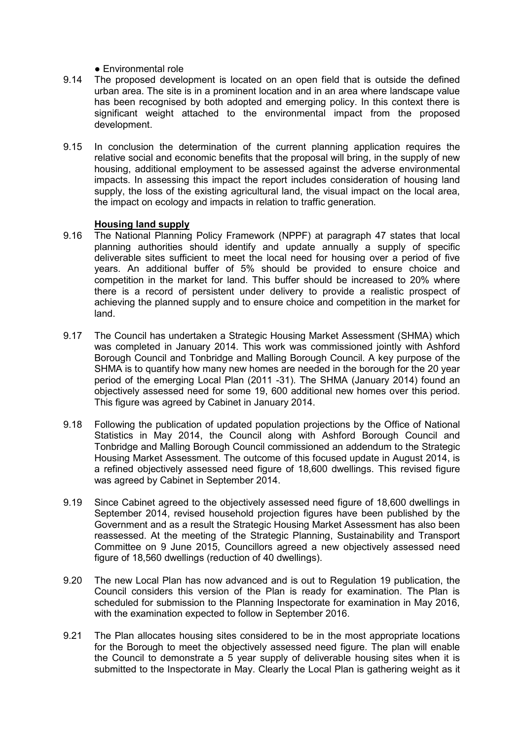- Environmental role
- 9.14 The proposed development is located on an open field that is outside the defined urban area. The site is in a prominent location and in an area where landscape value has been recognised by both adopted and emerging policy. In this context there is significant weight attached to the environmental impact from the proposed development.
- 9.15 In conclusion the determination of the current planning application requires the relative social and economic benefits that the proposal will bring, in the supply of new housing, additional employment to be assessed against the adverse environmental impacts. In assessing this impact the report includes consideration of housing land supply, the loss of the existing agricultural land, the visual impact on the local area, the impact on ecology and impacts in relation to traffic generation.

#### **Housing land supply**

- 9.16 The National Planning Policy Framework (NPPF) at paragraph 47 states that local planning authorities should identify and update annually a supply of specific deliverable sites sufficient to meet the local need for housing over a period of five years. An additional buffer of 5% should be provided to ensure choice and competition in the market for land. This buffer should be increased to 20% where there is a record of persistent under delivery to provide a realistic prospect of achieving the planned supply and to ensure choice and competition in the market for land.
- 9.17 The Council has undertaken a Strategic Housing Market Assessment (SHMA) which was completed in January 2014. This work was commissioned jointly with Ashford Borough Council and Tonbridge and Malling Borough Council. A key purpose of the SHMA is to quantify how many new homes are needed in the borough for the 20 year period of the emerging Local Plan (2011 -31). The SHMA (January 2014) found an objectively assessed need for some 19, 600 additional new homes over this period. This figure was agreed by Cabinet in January 2014.
- 9.18 Following the publication of updated population projections by the Office of National Statistics in May 2014, the Council along with Ashford Borough Council and Tonbridge and Malling Borough Council commissioned an addendum to the Strategic Housing Market Assessment. The outcome of this focused update in August 2014, is a refined objectively assessed need figure of 18,600 dwellings. This revised figure was agreed by Cabinet in September 2014.
- 9.19 Since Cabinet agreed to the objectively assessed need figure of 18,600 dwellings in September 2014, revised household projection figures have been published by the Government and as a result the Strategic Housing Market Assessment has also been reassessed. At the meeting of the Strategic Planning, Sustainability and Transport Committee on 9 June 2015, Councillors agreed a new objectively assessed need figure of 18,560 dwellings (reduction of 40 dwellings).
- 9.20 The new Local Plan has now advanced and is out to Regulation 19 publication, the Council considers this version of the Plan is ready for examination. The Plan is scheduled for submission to the Planning Inspectorate for examination in May 2016, with the examination expected to follow in September 2016.
- 9.21 The Plan allocates housing sites considered to be in the most appropriate locations for the Borough to meet the objectively assessed need figure. The plan will enable the Council to demonstrate a 5 year supply of deliverable housing sites when it is submitted to the Inspectorate in May. Clearly the Local Plan is gathering weight as it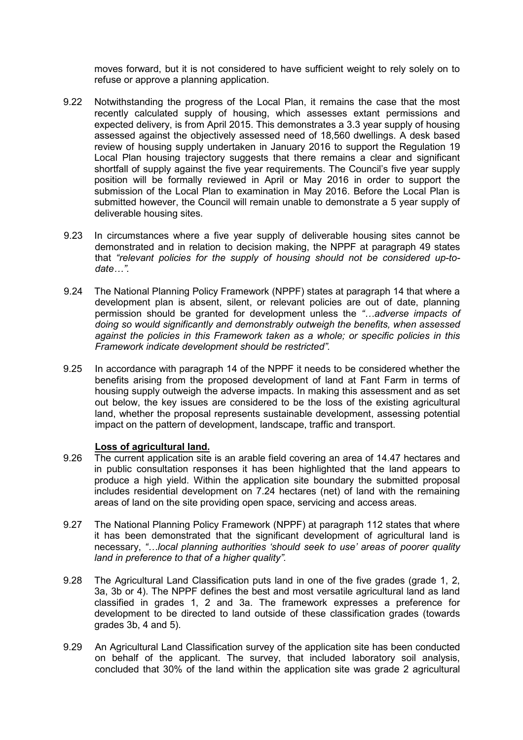moves forward, but it is not considered to have sufficient weight to rely solely on to refuse or approve a planning application.

- 9.22 Notwithstanding the progress of the Local Plan, it remains the case that the most recently calculated supply of housing, which assesses extant permissions and expected delivery, is from April 2015. This demonstrates a 3.3 year supply of housing assessed against the objectively assessed need of 18,560 dwellings. A desk based review of housing supply undertaken in January 2016 to support the Regulation 19 Local Plan housing trajectory suggests that there remains a clear and significant shortfall of supply against the five year requirements. The Council's five year supply position will be formally reviewed in April or May 2016 in order to support the submission of the Local Plan to examination in May 2016. Before the Local Plan is submitted however, the Council will remain unable to demonstrate a 5 year supply of deliverable housing sites.
- 9.23 In circumstances where a five year supply of deliverable housing sites cannot be demonstrated and in relation to decision making, the NPPF at paragraph 49 states that *"relevant policies for the supply of housing should not be considered up-todate…".*
- 9.24 The National Planning Policy Framework (NPPF) states at paragraph 14 that where a development plan is absent, silent, or relevant policies are out of date, planning permission should be granted for development unless the *"…adverse impacts of doing so would significantly and demonstrably outweigh the benefits, when assessed against the policies in this Framework taken as a whole; or specific policies in this Framework indicate development should be restricted".*
- 9.25 In accordance with paragraph 14 of the NPPF it needs to be considered whether the benefits arising from the proposed development of land at Fant Farm in terms of housing supply outweigh the adverse impacts. In making this assessment and as set out below, the key issues are considered to be the loss of the existing agricultural land, whether the proposal represents sustainable development, assessing potential impact on the pattern of development, landscape, traffic and transport.

#### **Loss of agricultural land.**

- 9.26 The current application site is an arable field covering an area of 14.47 hectares and in public consultation responses it has been highlighted that the land appears to produce a high yield. Within the application site boundary the submitted proposal includes residential development on 7.24 hectares (net) of land with the remaining areas of land on the site providing open space, servicing and access areas.
- 9.27 The National Planning Policy Framework (NPPF) at paragraph 112 states that where it has been demonstrated that the significant development of agricultural land is necessary, *"…local planning authorities 'should seek to use' areas of poorer quality land in preference to that of a higher quality".*
- 9.28 The Agricultural Land Classification puts land in one of the five grades (grade 1, 2, 3a, 3b or 4). The NPPF defines the best and most versatile agricultural land as land classified in grades 1, 2 and 3a. The framework expresses a preference for development to be directed to land outside of these classification grades (towards grades 3b, 4 and 5).
- 9.29 An Agricultural Land Classification survey of the application site has been conducted on behalf of the applicant. The survey, that included laboratory soil analysis, concluded that 30% of the land within the application site was grade 2 agricultural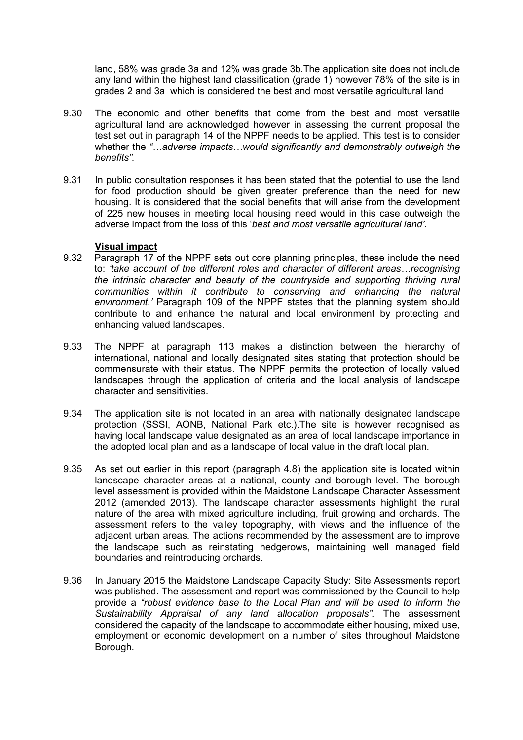land, 58% was grade 3a and 12% was grade 3b.The application site does not include any land within the highest land classification (grade 1) however 78% of the site is in grades 2 and 3a which is considered the best and most versatile agricultural land

- 9.30 The economic and other benefits that come from the best and most versatile agricultural land are acknowledged however in assessing the current proposal the test set out in paragraph 14 of the NPPF needs to be applied. This test is to consider whether the *"…adverse impacts…would significantly and demonstrably outweigh the benefits".*
- 9.31 In public consultation responses it has been stated that the potential to use the land for food production should be given greater preference than the need for new housing. It is considered that the social benefits that will arise from the development of 225 new houses in meeting local housing need would in this case outweigh the adverse impact from the loss of this '*best and most versatile agricultural land'.*

#### **Visual impact**

- 9.32 Paragraph 17 of the NPPF sets out core planning principles, these include the need to: *'take account of the different roles and character of different areas…recognising the intrinsic character and beauty of the countryside and supporting thriving rural communities within it contribute to conserving and enhancing the natural environment.'* Paragraph 109 of the NPPF states that the planning system should contribute to and enhance the natural and local environment by protecting and enhancing valued landscapes.
- 9.33 The NPPF at paragraph 113 makes a distinction between the hierarchy of international, national and locally designated sites stating that protection should be commensurate with their status. The NPPF permits the protection of locally valued landscapes through the application of criteria and the local analysis of landscape character and sensitivities.
- 9.34 The application site is not located in an area with nationally designated landscape protection (SSSI, AONB, National Park etc.).The site is however recognised as having local landscape value designated as an area of local landscape importance in the adopted local plan and as a landscape of local value in the draft local plan.
- 9.35 As set out earlier in this report (paragraph 4.8) the application site is located within landscape character areas at a national, county and borough level. The borough level assessment is provided within the Maidstone Landscape Character Assessment 2012 (amended 2013). The landscape character assessments highlight the rural nature of the area with mixed agriculture including, fruit growing and orchards. The assessment refers to the valley topography, with views and the influence of the adjacent urban areas. The actions recommended by the assessment are to improve the landscape such as reinstating hedgerows, maintaining well managed field boundaries and reintroducing orchards.
- 9.36 In January 2015 the Maidstone Landscape Capacity Study: Site Assessments report was published. The assessment and report was commissioned by the Council to help provide a *"robust evidence base to the Local Plan and will be used to inform the Sustainability Appraisal of any land allocation proposals".* The assessment considered the capacity of the landscape to accommodate either housing, mixed use, employment or economic development on a number of sites throughout Maidstone Borough.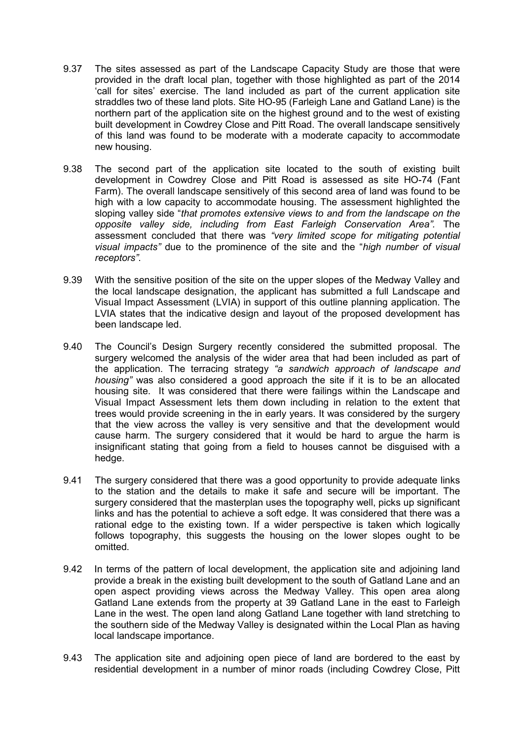- 9.37 The sites assessed as part of the Landscape Capacity Study are those that were provided in the draft local plan, together with those highlighted as part of the 2014 'call for sites' exercise. The land included as part of the current application site straddles two of these land plots. Site HO-95 (Farleigh Lane and Gatland Lane) is the northern part of the application site on the highest ground and to the west of existing built development in Cowdrey Close and Pitt Road. The overall landscape sensitively of this land was found to be moderate with a moderate capacity to accommodate new housing.
- 9.38 The second part of the application site located to the south of existing built development in Cowdrey Close and Pitt Road is assessed as site HO-74 (Fant Farm). The overall landscape sensitively of this second area of land was found to be high with a low capacity to accommodate housing. The assessment highlighted the sloping valley side "*that promotes extensive views to and from the landscape on the opposite valley side, including from East Farleigh Conservation Area".* The assessment concluded that there was *"very limited scope for mitigating potential visual impacts"* due to the prominence of the site and the "*high number of visual receptors"*.
- 9.39 With the sensitive position of the site on the upper slopes of the Medway Valley and the local landscape designation, the applicant has submitted a full Landscape and Visual Impact Assessment (LVIA) in support of this outline planning application. The LVIA states that the indicative design and layout of the proposed development has been landscape led.
- 9.40 The Council's Design Surgery recently considered the submitted proposal. The surgery welcomed the analysis of the wider area that had been included as part of the application. The terracing strategy *"a sandwich approach of landscape and housing"* was also considered a good approach the site if it is to be an allocated housing site. It was considered that there were failings within the Landscape and Visual Impact Assessment lets them down including in relation to the extent that trees would provide screening in the in early years. It was considered by the surgery that the view across the valley is very sensitive and that the development would cause harm. The surgery considered that it would be hard to argue the harm is insignificant stating that going from a field to houses cannot be disguised with a hedge.
- 9.41 The surgery considered that there was a good opportunity to provide adequate links to the station and the details to make it safe and secure will be important. The surgery considered that the masterplan uses the topography well, picks up significant links and has the potential to achieve a soft edge. It was considered that there was a rational edge to the existing town. If a wider perspective is taken which logically follows topography, this suggests the housing on the lower slopes ought to be omitted.
- 9.42 In terms of the pattern of local development, the application site and adjoining land provide a break in the existing built development to the south of Gatland Lane and an open aspect providing views across the Medway Valley. This open area along Gatland Lane extends from the property at 39 Gatland Lane in the east to Farleigh Lane in the west. The open land along Gatland Lane together with land stretching to the southern side of the Medway Valley is designated within the Local Plan as having local landscape importance.
- 9.43 The application site and adjoining open piece of land are bordered to the east by residential development in a number of minor roads (including Cowdrey Close, Pitt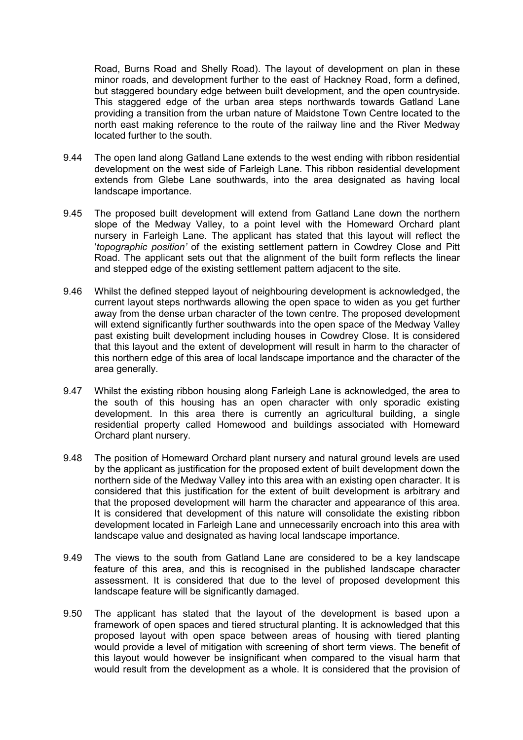Road, Burns Road and Shelly Road). The layout of development on plan in these minor roads, and development further to the east of Hackney Road, form a defined, but staggered boundary edge between built development, and the open countryside. This staggered edge of the urban area steps northwards towards Gatland Lane providing a transition from the urban nature of Maidstone Town Centre located to the north east making reference to the route of the railway line and the River Medway located further to the south.

- 9.44 The open land along Gatland Lane extends to the west ending with ribbon residential development on the west side of Farleigh Lane. This ribbon residential development extends from Glebe Lane southwards, into the area designated as having local landscape importance.
- 9.45 The proposed built development will extend from Gatland Lane down the northern slope of the Medway Valley, to a point level with the Homeward Orchard plant nursery in Farleigh Lane. The applicant has stated that this layout will reflect the '*topographic position'* of the existing settlement pattern in Cowdrey Close and Pitt Road. The applicant sets out that the alignment of the built form reflects the linear and stepped edge of the existing settlement pattern adjacent to the site.
- 9.46 Whilst the defined stepped layout of neighbouring development is acknowledged, the current layout steps northwards allowing the open space to widen as you get further away from the dense urban character of the town centre. The proposed development will extend significantly further southwards into the open space of the Medway Valley past existing built development including houses in Cowdrey Close. It is considered that this layout and the extent of development will result in harm to the character of this northern edge of this area of local landscape importance and the character of the area generally.
- 9.47 Whilst the existing ribbon housing along Farleigh Lane is acknowledged, the area to the south of this housing has an open character with only sporadic existing development. In this area there is currently an agricultural building, a single residential property called Homewood and buildings associated with Homeward Orchard plant nursery.
- 9.48 The position of Homeward Orchard plant nursery and natural ground levels are used by the applicant as justification for the proposed extent of built development down the northern side of the Medway Valley into this area with an existing open character. It is considered that this justification for the extent of built development is arbitrary and that the proposed development will harm the character and appearance of this area. It is considered that development of this nature will consolidate the existing ribbon development located in Farleigh Lane and unnecessarily encroach into this area with landscape value and designated as having local landscape importance.
- 9.49 The views to the south from Gatland Lane are considered to be a key landscape feature of this area, and this is recognised in the published landscape character assessment. It is considered that due to the level of proposed development this landscape feature will be significantly damaged.
- 9.50 The applicant has stated that the layout of the development is based upon a framework of open spaces and tiered structural planting. It is acknowledged that this proposed layout with open space between areas of housing with tiered planting would provide a level of mitigation with screening of short term views. The benefit of this layout would however be insignificant when compared to the visual harm that would result from the development as a whole. It is considered that the provision of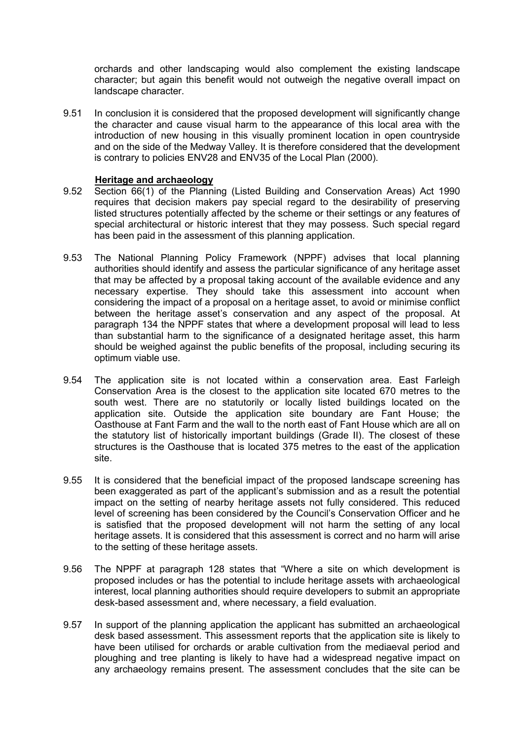orchards and other landscaping would also complement the existing landscape character; but again this benefit would not outweigh the negative overall impact on landscape character.

9.51 In conclusion it is considered that the proposed development will significantly change the character and cause visual harm to the appearance of this local area with the introduction of new housing in this visually prominent location in open countryside and on the side of the Medway Valley. It is therefore considered that the development is contrary to policies ENV28 and ENV35 of the Local Plan (2000).

#### **Heritage and archaeology**

- 9.52 Section 66(1) of the Planning (Listed Building and Conservation Areas) Act 1990 requires that decision makers pay special regard to the desirability of preserving listed structures potentially affected by the scheme or their settings or any features of special architectural or historic interest that they may possess. Such special regard has been paid in the assessment of this planning application.
- 9.53 The National Planning Policy Framework (NPPF) advises that local planning authorities should identify and assess the particular significance of any heritage asset that may be affected by a proposal taking account of the available evidence and any necessary expertise. They should take this assessment into account when considering the impact of a proposal on a heritage asset, to avoid or minimise conflict between the heritage asset's conservation and any aspect of the proposal. At paragraph 134 the NPPF states that where a development proposal will lead to less than substantial harm to the significance of a designated heritage asset, this harm should be weighed against the public benefits of the proposal, including securing its optimum viable use.
- 9.54 The application site is not located within a conservation area. East Farleigh Conservation Area is the closest to the application site located 670 metres to the south west. There are no statutorily or locally listed buildings located on the application site. Outside the application site boundary are Fant House; the Oasthouse at Fant Farm and the wall to the north east of Fant House which are all on the statutory list of historically important buildings (Grade II). The closest of these structures is the Oasthouse that is located 375 metres to the east of the application site.
- 9.55 It is considered that the beneficial impact of the proposed landscape screening has been exaggerated as part of the applicant's submission and as a result the potential impact on the setting of nearby heritage assets not fully considered. This reduced level of screening has been considered by the Council's Conservation Officer and he is satisfied that the proposed development will not harm the setting of any local heritage assets. It is considered that this assessment is correct and no harm will arise to the setting of these heritage assets.
- 9.56 The NPPF at paragraph 128 states that "Where a site on which development is proposed includes or has the potential to include heritage assets with archaeological interest, local planning authorities should require developers to submit an appropriate desk-based assessment and, where necessary, a field evaluation.
- 9.57 In support of the planning application the applicant has submitted an archaeological desk based assessment. This assessment reports that the application site is likely to have been utilised for orchards or arable cultivation from the mediaeval period and ploughing and tree planting is likely to have had a widespread negative impact on any archaeology remains present. The assessment concludes that the site can be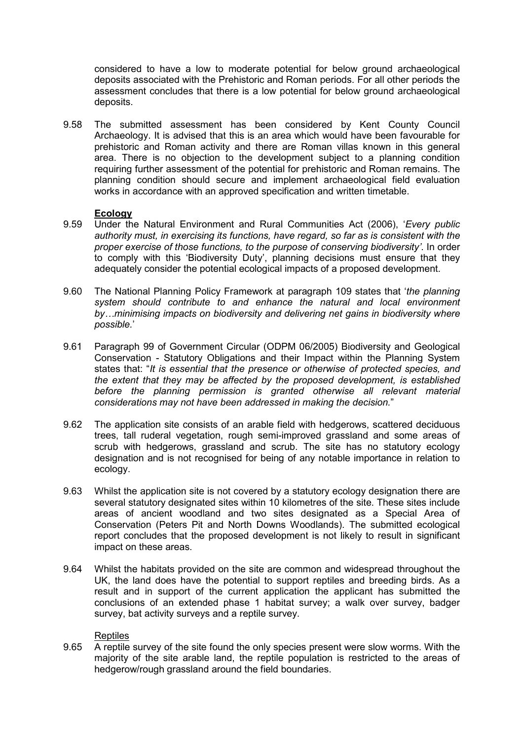considered to have a low to moderate potential for below ground archaeological deposits associated with the Prehistoric and Roman periods. For all other periods the assessment concludes that there is a low potential for below ground archaeological deposits.

9.58 The submitted assessment has been considered by Kent County Council Archaeology. It is advised that this is an area which would have been favourable for prehistoric and Roman activity and there are Roman villas known in this general area. There is no objection to the development subject to a planning condition requiring further assessment of the potential for prehistoric and Roman remains. The planning condition should secure and implement archaeological field evaluation works in accordance with an approved specification and written timetable.

#### **Ecology**

- 9.59 Under the Natural Environment and Rural Communities Act (2006), '*Every public authority must, in exercising its functions, have regard, so far as is consistent with the proper exercise of those functions, to the purpose of conserving biodiversity'*. In order to comply with this 'Biodiversity Duty', planning decisions must ensure that they adequately consider the potential ecological impacts of a proposed development.
- 9.60 The National Planning Policy Framework at paragraph 109 states that '*the planning system should contribute to and enhance the natural and local environment by…minimising impacts on biodiversity and delivering net gains in biodiversity where possible.*'
- 9.61 Paragraph 99 of Government Circular (ODPM 06/2005) Biodiversity and Geological Conservation - Statutory Obligations and their Impact within the Planning System states that: "*It is essential that the presence or otherwise of protected species, and the extent that they may be affected by the proposed development, is established before the planning permission is granted otherwise all relevant material considerations may not have been addressed in making the decision.*"
- 9.62 The application site consists of an arable field with hedgerows, scattered deciduous trees, tall ruderal vegetation, rough semi-improved grassland and some areas of scrub with hedgerows, grassland and scrub. The site has no statutory ecology designation and is not recognised for being of any notable importance in relation to ecology.
- 9.63 Whilst the application site is not covered by a statutory ecology designation there are several statutory designated sites within 10 kilometres of the site. These sites include areas of ancient woodland and two sites designated as a Special Area of Conservation (Peters Pit and North Downs Woodlands). The submitted ecological report concludes that the proposed development is not likely to result in significant impact on these areas.
- 9.64 Whilst the habitats provided on the site are common and widespread throughout the UK, the land does have the potential to support reptiles and breeding birds. As a result and in support of the current application the applicant has submitted the conclusions of an extended phase 1 habitat survey; a walk over survey, badger survey, bat activity surveys and a reptile survey.

#### Reptiles

9.65 A reptile survey of the site found the only species present were slow worms. With the majority of the site arable land, the reptile population is restricted to the areas of hedgerow/rough grassland around the field boundaries.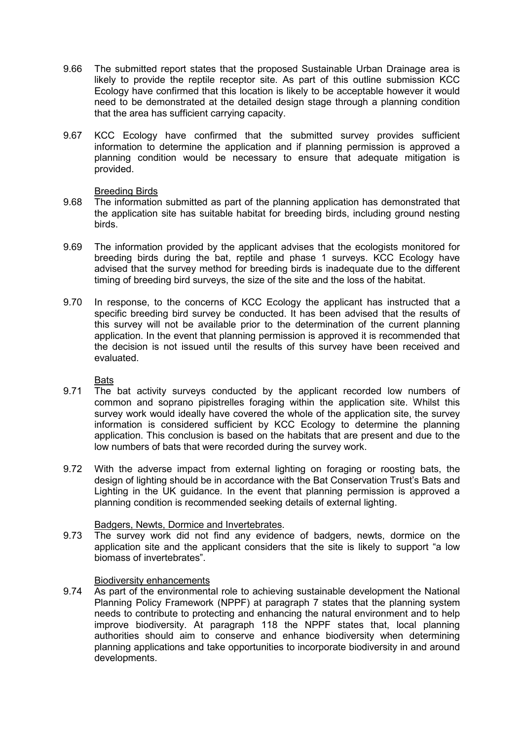- 9.66 The submitted report states that the proposed Sustainable Urban Drainage area is likely to provide the reptile receptor site. As part of this outline submission KCC Ecology have confirmed that this location is likely to be acceptable however it would need to be demonstrated at the detailed design stage through a planning condition that the area has sufficient carrying capacity.
- 9.67 KCC Ecology have confirmed that the submitted survey provides sufficient information to determine the application and if planning permission is approved a planning condition would be necessary to ensure that adequate mitigation is provided.

#### Breeding Birds

- 9.68 The information submitted as part of the planning application has demonstrated that the application site has suitable habitat for breeding birds, including ground nesting birds.
- 9.69 The information provided by the applicant advises that the ecologists monitored for breeding birds during the bat, reptile and phase 1 surveys. KCC Ecology have advised that the survey method for breeding birds is inadequate due to the different timing of breeding bird surveys, the size of the site and the loss of the habitat.
- 9.70 In response, to the concerns of KCC Ecology the applicant has instructed that a specific breeding bird survey be conducted. It has been advised that the results of this survey will not be available prior to the determination of the current planning application. In the event that planning permission is approved it is recommended that the decision is not issued until the results of this survey have been received and evaluated.

Bats

- 9.71 The bat activity surveys conducted by the applicant recorded low numbers of common and soprano pipistrelles foraging within the application site. Whilst this survey work would ideally have covered the whole of the application site, the survey information is considered sufficient by KCC Ecology to determine the planning application. This conclusion is based on the habitats that are present and due to the low numbers of bats that were recorded during the survey work.
- 9.72 With the adverse impact from external lighting on foraging or roosting bats, the design of lighting should be in accordance with the Bat Conservation Trust's Bats and Lighting in the UK guidance. In the event that planning permission is approved a planning condition is recommended seeking details of external lighting.

### Badgers, Newts, Dormice and Invertebrates.

9.73 The survey work did not find any evidence of badgers, newts, dormice on the application site and the applicant considers that the site is likely to support "a low biomass of invertebrates".

### Biodiversity enhancements

9.74 As part of the environmental role to achieving sustainable development the National Planning Policy Framework (NPPF) at paragraph 7 states that the planning system needs to contribute to protecting and enhancing the natural environment and to help improve biodiversity. At paragraph 118 the NPPF states that, local planning authorities should aim to conserve and enhance biodiversity when determining planning applications and take opportunities to incorporate biodiversity in and around developments.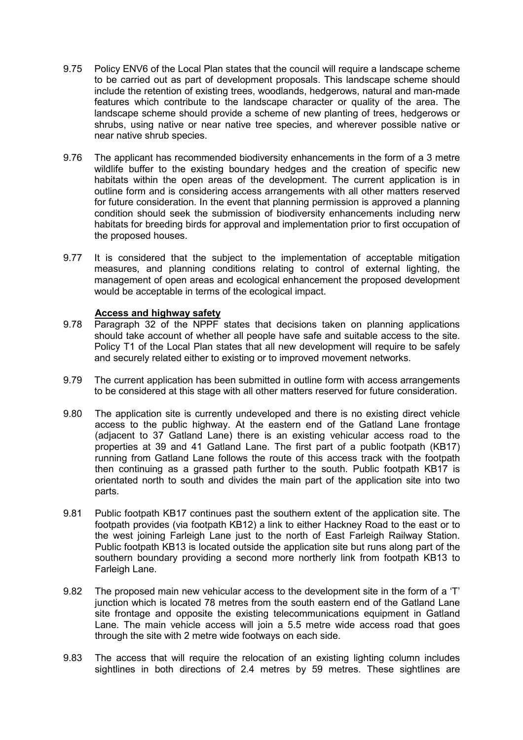- 9.75 Policy ENV6 of the Local Plan states that the council will require a landscape scheme to be carried out as part of development proposals. This landscape scheme should include the retention of existing trees, woodlands, hedgerows, natural and man-made features which contribute to the landscape character or quality of the area. The landscape scheme should provide a scheme of new planting of trees, hedgerows or shrubs, using native or near native tree species, and wherever possible native or near native shrub species.
- 9.76 The applicant has recommended biodiversity enhancements in the form of a 3 metre wildlife buffer to the existing boundary hedges and the creation of specific new habitats within the open areas of the development. The current application is in outline form and is considering access arrangements with all other matters reserved for future consideration. In the event that planning permission is approved a planning condition should seek the submission of biodiversity enhancements including nerw habitats for breeding birds for approval and implementation prior to first occupation of the proposed houses.
- 9.77 It is considered that the subject to the implementation of acceptable mitigation measures, and planning conditions relating to control of external lighting, the management of open areas and ecological enhancement the proposed development would be acceptable in terms of the ecological impact.

### **Access and highway safety**

- 9.78 Paragraph 32 of the NPPF states that decisions taken on planning applications should take account of whether all people have safe and suitable access to the site. Policy T1 of the Local Plan states that all new development will require to be safely and securely related either to existing or to improved movement networks.
- 9.79 The current application has been submitted in outline form with access arrangements to be considered at this stage with all other matters reserved for future consideration.
- 9.80 The application site is currently undeveloped and there is no existing direct vehicle access to the public highway. At the eastern end of the Gatland Lane frontage (adjacent to 37 Gatland Lane) there is an existing vehicular access road to the properties at 39 and 41 Gatland Lane. The first part of a public footpath (KB17) running from Gatland Lane follows the route of this access track with the footpath then continuing as a grassed path further to the south. Public footpath KB17 is orientated north to south and divides the main part of the application site into two parts.
- 9.81 Public footpath KB17 continues past the southern extent of the application site. The footpath provides (via footpath KB12) a link to either Hackney Road to the east or to the west joining Farleigh Lane just to the north of East Farleigh Railway Station. Public footpath KB13 is located outside the application site but runs along part of the southern boundary providing a second more northerly link from footpath KB13 to Farleigh Lane.
- 9.82 The proposed main new vehicular access to the development site in the form of a 'T' junction which is located 78 metres from the south eastern end of the Gatland Lane site frontage and opposite the existing telecommunications equipment in Gatland Lane. The main vehicle access will join a 5.5 metre wide access road that goes through the site with 2 metre wide footways on each side.
- 9.83 The access that will require the relocation of an existing lighting column includes sightlines in both directions of 2.4 metres by 59 metres. These sightlines are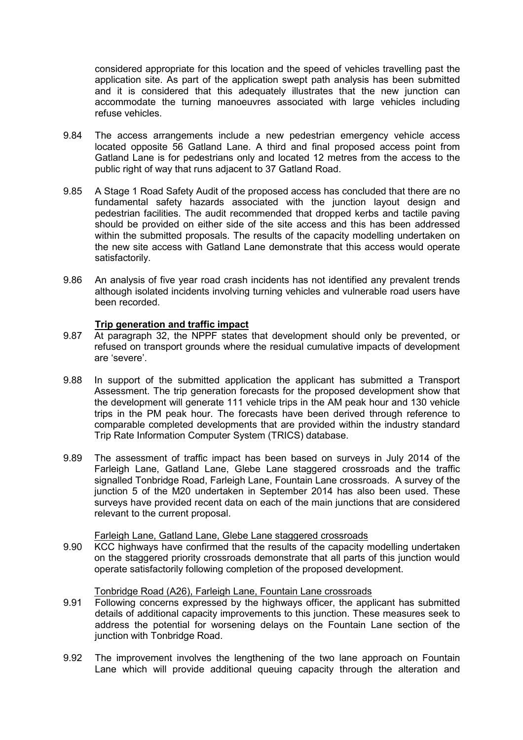considered appropriate for this location and the speed of vehicles travelling past the application site. As part of the application swept path analysis has been submitted and it is considered that this adequately illustrates that the new junction can accommodate the turning manoeuvres associated with large vehicles including refuse vehicles.

- 9.84 The access arrangements include a new pedestrian emergency vehicle access located opposite 56 Gatland Lane. A third and final proposed access point from Gatland Lane is for pedestrians only and located 12 metres from the access to the public right of way that runs adjacent to 37 Gatland Road.
- 9.85 A Stage 1 Road Safety Audit of the proposed access has concluded that there are no fundamental safety hazards associated with the junction layout design and pedestrian facilities. The audit recommended that dropped kerbs and tactile paving should be provided on either side of the site access and this has been addressed within the submitted proposals. The results of the capacity modelling undertaken on the new site access with Gatland Lane demonstrate that this access would operate satisfactorily.
- 9.86 An analysis of five year road crash incidents has not identified any prevalent trends although isolated incidents involving turning vehicles and vulnerable road users have been recorded.

### **Trip generation and traffic impact**

- 9.87 At paragraph 32, the NPPF states that development should only be prevented, or refused on transport grounds where the residual cumulative impacts of development are 'severe'.
- 9.88 In support of the submitted application the applicant has submitted a Transport Assessment. The trip generation forecasts for the proposed development show that the development will generate 111 vehicle trips in the AM peak hour and 130 vehicle trips in the PM peak hour. The forecasts have been derived through reference to comparable completed developments that are provided within the industry standard Trip Rate Information Computer System (TRICS) database.
- 9.89 The assessment of traffic impact has been based on surveys in July 2014 of the Farleigh Lane, Gatland Lane, Glebe Lane staggered crossroads and the traffic signalled Tonbridge Road, Farleigh Lane, Fountain Lane crossroads. A survey of the junction 5 of the M20 undertaken in September 2014 has also been used. These surveys have provided recent data on each of the main junctions that are considered relevant to the current proposal.

#### Farleigh Lane, Gatland Lane, Glebe Lane staggered crossroads

9.90 KCC highways have confirmed that the results of the capacity modelling undertaken on the staggered priority crossroads demonstrate that all parts of this junction would operate satisfactorily following completion of the proposed development.

#### Tonbridge Road (A26), Farleigh Lane, Fountain Lane crossroads

- 9.91 Following concerns expressed by the highways officer, the applicant has submitted details of additional capacity improvements to this junction. These measures seek to address the potential for worsening delays on the Fountain Lane section of the junction with Tonbridge Road.
- 9.92 The improvement involves the lengthening of the two lane approach on Fountain Lane which will provide additional queuing capacity through the alteration and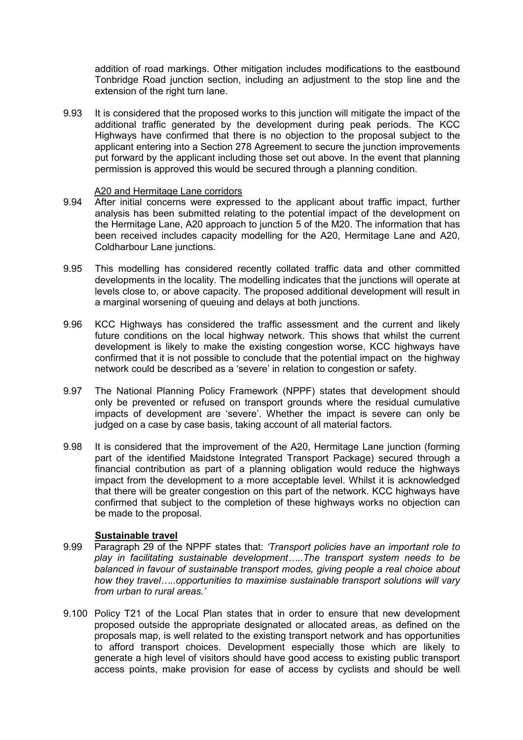addition of road markings. Other mitigation includes modifications to the eastbound Tonbridge Road junction section, including an adjustment to the stop line and the extension of the right turn lane.

9.93 It is considered that the proposed works to this junction will mitigate the impact of the additional traffic generated by the development during peak periods. The KCC Highways have confirmed that there is no objection to the proposal subject to the applicant entering into a Section 278 Agreement to secure the junction improvements put forward by the applicant including those set out above. In the event that planning permission is approved this would be secured through a planning condition.

#### A20 and Hermitage Lane corridors

- 9.94 After initial concerns were expressed to the applicant about traffic impact, further analysis has been submitted relating to the potential impact of the development on the Hermitage Lane, A20 approach to junction 5 of the M20. The information that has been received includes capacity modelling for the A20, Hermitage Lane and A20, Coldharbour Lane junctions.
- 9.95 This modelling has considered recently collated traffic data and other committed developments in the locality. The modelling indicates that the junctions will operate at levels close to, or above capacity. The proposed additional development will result in a marginal worsening of queuing and delays at both junctions.
- 9.96 KCC Highways has considered the traffic assessment and the current and likely future conditions on the local highway network. This shows that whilst the current development is likely to make the existing congestion worse, KCC highways have confirmed that it is not possible to conclude that the potential impact on the highway network could be described as a 'severe' in relation to congestion or safety.
- 9.97 The National Planning Policy Framework (NPPF) states that development should only be prevented or refused on transport grounds where the residual cumulative impacts of development are 'severe'. Whether the impact is severe can only be judged on a case by case basis, taking account of all material factors.
- 9.98 It is considered that the improvement of the A20, Hermitage Lane junction (forming part of the identified Maidstone Integrated Transport Package) secured through a financial contribution as part of a planning obligation would reduce the highways impact from the development to a more acceptable level. Whilst it is acknowledged that there will be greater congestion on this part of the network. KCC highways have confirmed that subject to the completion of these highways works no objection can be made to the proposal.

### **Sustainable travel**

- 9.99 Paragraph 29 of the NPPF states that: *'Transport policies have an important role to play in facilitating sustainable development…..The transport system needs to be balanced in favour of sustainable transport modes, giving people a real choice about how they travel…..opportunities to maximise sustainable transport solutions will vary from urban to rural areas.'*
- 9.100 Policy T21 of the Local Plan states that in order to ensure that new development proposed outside the appropriate designated or allocated areas, as defined on the proposals map, is well related to the existing transport network and has opportunities to afford transport choices. Development especially those which are likely to generate a high level of visitors should have good access to existing public transport access points, make provision for ease of access by cyclists and should be well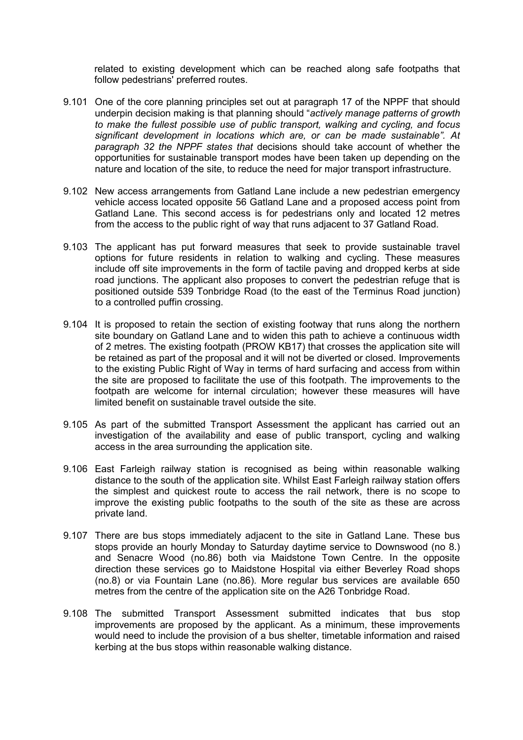related to existing development which can be reached along safe footpaths that follow pedestrians' preferred routes.

- 9.101 One of the core planning principles set out at paragraph 17 of the NPPF that should underpin decision making is that planning should "*actively manage patterns of growth to make the fullest possible use of public transport, walking and cycling, and focus significant development in locations which are, or can be made sustainable". At paragraph 32 the NPPF states that* decisions should take account of whether the opportunities for sustainable transport modes have been taken up depending on the nature and location of the site, to reduce the need for major transport infrastructure.
- 9.102 New access arrangements from Gatland Lane include a new pedestrian emergency vehicle access located opposite 56 Gatland Lane and a proposed access point from Gatland Lane. This second access is for pedestrians only and located 12 metres from the access to the public right of way that runs adjacent to 37 Gatland Road.
- 9.103 The applicant has put forward measures that seek to provide sustainable travel options for future residents in relation to walking and cycling. These measures include off site improvements in the form of tactile paving and dropped kerbs at side road junctions. The applicant also proposes to convert the pedestrian refuge that is positioned outside 539 Tonbridge Road (to the east of the Terminus Road junction) to a controlled puffin crossing.
- 9.104 It is proposed to retain the section of existing footway that runs along the northern site boundary on Gatland Lane and to widen this path to achieve a continuous width of 2 metres. The existing footpath (PROW KB17) that crosses the application site will be retained as part of the proposal and it will not be diverted or closed. Improvements to the existing Public Right of Way in terms of hard surfacing and access from within the site are proposed to facilitate the use of this footpath. The improvements to the footpath are welcome for internal circulation; however these measures will have limited benefit on sustainable travel outside the site.
- 9.105 As part of the submitted Transport Assessment the applicant has carried out an investigation of the availability and ease of public transport, cycling and walking access in the area surrounding the application site.
- 9.106 East Farleigh railway station is recognised as being within reasonable walking distance to the south of the application site. Whilst East Farleigh railway station offers the simplest and quickest route to access the rail network, there is no scope to improve the existing public footpaths to the south of the site as these are across private land.
- 9.107 There are bus stops immediately adjacent to the site in Gatland Lane. These bus stops provide an hourly Monday to Saturday daytime service to Downswood (no 8.) and Senacre Wood (no.86) both via Maidstone Town Centre. In the opposite direction these services go to Maidstone Hospital via either Beverley Road shops (no.8) or via Fountain Lane (no.86). More regular bus services are available 650 metres from the centre of the application site on the A26 Tonbridge Road.
- 9.108 The submitted Transport Assessment submitted indicates that bus stop improvements are proposed by the applicant. As a minimum, these improvements would need to include the provision of a bus shelter, timetable information and raised kerbing at the bus stops within reasonable walking distance.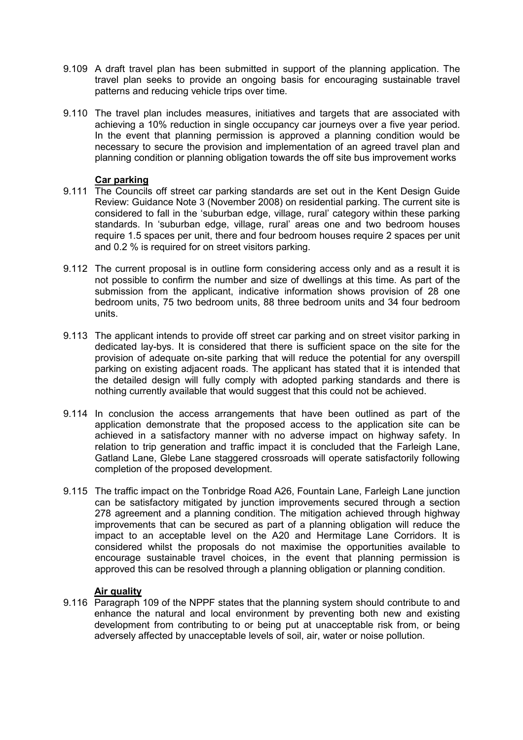- 9.109 A draft travel plan has been submitted in support of the planning application. The travel plan seeks to provide an ongoing basis for encouraging sustainable travel patterns and reducing vehicle trips over time.
- 9.110 The travel plan includes measures, initiatives and targets that are associated with achieving a 10% reduction in single occupancy car journeys over a five year period. In the event that planning permission is approved a planning condition would be necessary to secure the provision and implementation of an agreed travel plan and planning condition or planning obligation towards the off site bus improvement works

#### **Car parking**

- 9.111 The Councils off street car parking standards are set out in the Kent Design Guide Review: Guidance Note 3 (November 2008) on residential parking. The current site is considered to fall in the 'suburban edge, village, rural' category within these parking standards. In 'suburban edge, village, rural' areas one and two bedroom houses require 1.5 spaces per unit, there and four bedroom houses require 2 spaces per unit and 0.2 % is required for on street visitors parking.
- 9.112 The current proposal is in outline form considering access only and as a result it is not possible to confirm the number and size of dwellings at this time. As part of the submission from the applicant, indicative information shows provision of 28 one bedroom units, 75 two bedroom units, 88 three bedroom units and 34 four bedroom units.
- 9.113 The applicant intends to provide off street car parking and on street visitor parking in dedicated lay-bys. It is considered that there is sufficient space on the site for the provision of adequate on-site parking that will reduce the potential for any overspill parking on existing adjacent roads. The applicant has stated that it is intended that the detailed design will fully comply with adopted parking standards and there is nothing currently available that would suggest that this could not be achieved.
- 9.114 In conclusion the access arrangements that have been outlined as part of the application demonstrate that the proposed access to the application site can be achieved in a satisfactory manner with no adverse impact on highway safety. In relation to trip generation and traffic impact it is concluded that the Farleigh Lane, Gatland Lane, Glebe Lane staggered crossroads will operate satisfactorily following completion of the proposed development.
- 9.115 The traffic impact on the Tonbridge Road A26, Fountain Lane, Farleigh Lane junction can be satisfactory mitigated by junction improvements secured through a section 278 agreement and a planning condition. The mitigation achieved through highway improvements that can be secured as part of a planning obligation will reduce the impact to an acceptable level on the A20 and Hermitage Lane Corridors. It is considered whilst the proposals do not maximise the opportunities available to encourage sustainable travel choices, in the event that planning permission is approved this can be resolved through a planning obligation or planning condition.

#### **Air quality**

9.116 Paragraph 109 of the NPPF states that the planning system should contribute to and enhance the natural and local environment by preventing both new and existing development from contributing to or being put at unacceptable risk from, or being adversely affected by unacceptable levels of soil, air, water or noise pollution.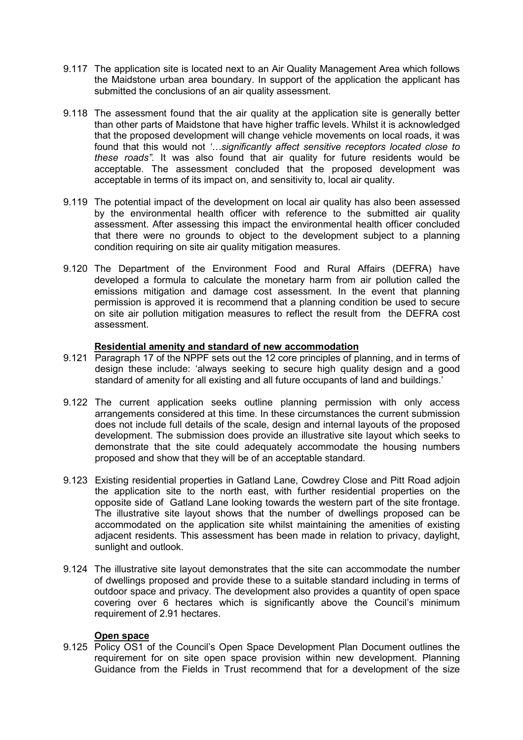- 9.117 The application site is located next to an Air Quality Management Area which follows the Maidstone urban area boundary. In support of the application the applicant has submitted the conclusions of an air quality assessment.
- 9.118 The assessment found that the air quality at the application site is generally better than other parts of Maidstone that have higher traffic levels. Whilst it is acknowledged that the proposed development will change vehicle movements on local roads, it was found that this would not *'…significantly affect sensitive receptors located close to these roads"*. It was also found that air quality for future residents would be acceptable. The assessment concluded that the proposed development was acceptable in terms of its impact on, and sensitivity to, local air quality.
- 9.119 The potential impact of the development on local air quality has also been assessed by the environmental health officer with reference to the submitted air quality assessment. After assessing this impact the environmental health officer concluded that there were no grounds to object to the development subject to a planning condition requiring on site air quality mitigation measures.
- 9.120 The Department of the Environment Food and Rural Affairs (DEFRA) have developed a formula to calculate the monetary harm from air pollution called the emissions mitigation and damage cost assessment. In the event that planning permission is approved it is recommend that a planning condition be used to secure on site air pollution mitigation measures to reflect the result from the DEFRA cost assessment.

#### **Residential amenity and standard of new accommodation**

- 9.121 Paragraph 17 of the NPPF sets out the 12 core principles of planning, and in terms of design these include: 'always seeking to secure high quality design and a good standard of amenity for all existing and all future occupants of land and buildings.'
- 9.122 The current application seeks outline planning permission with only access arrangements considered at this time. In these circumstances the current submission does not include full details of the scale, design and internal layouts of the proposed development. The submission does provide an illustrative site layout which seeks to demonstrate that the site could adequately accommodate the housing numbers proposed and show that they will be of an acceptable standard.
- 9.123 Existing residential properties in Gatland Lane, Cowdrey Close and Pitt Road adjoin the application site to the north east, with further residential properties on the opposite side of Gatland Lane looking towards the western part of the site frontage. The illustrative site layout shows that the number of dwellings proposed can be accommodated on the application site whilst maintaining the amenities of existing adjacent residents. This assessment has been made in relation to privacy, daylight, sunlight and outlook.
- 9.124 The illustrative site layout demonstrates that the site can accommodate the number of dwellings proposed and provide these to a suitable standard including in terms of outdoor space and privacy. The development also provides a quantity of open space covering over 6 hectares which is significantly above the Council's minimum requirement of 2.91 hectares.

# **Open space**

9.125 Policy OS1 of the Council's Open Space Development Plan Document outlines the requirement for on site open space provision within new development. Planning Guidance from the Fields in Trust recommend that for a development of the size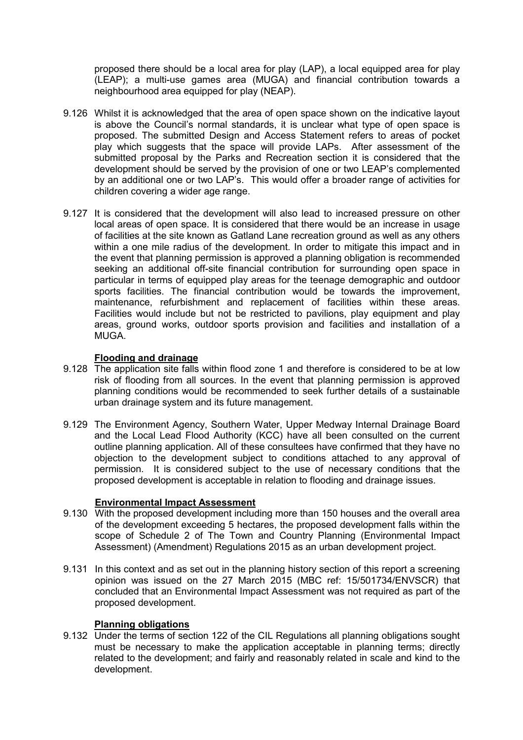proposed there should be a local area for play (LAP), a local equipped area for play (LEAP); a multi-use games area (MUGA) and financial contribution towards a neighbourhood area equipped for play (NEAP).

- 9.126 Whilst it is acknowledged that the area of open space shown on the indicative layout is above the Council's normal standards, it is unclear what type of open space is proposed. The submitted Design and Access Statement refers to areas of pocket play which suggests that the space will provide LAPs. After assessment of the submitted proposal by the Parks and Recreation section it is considered that the development should be served by the provision of one or two LEAP's complemented by an additional one or two LAP's. This would offer a broader range of activities for children covering a wider age range.
- 9.127 It is considered that the development will also lead to increased pressure on other local areas of open space. It is considered that there would be an increase in usage of facilities at the site known as Gatland Lane recreation ground as well as any others within a one mile radius of the development. In order to mitigate this impact and in the event that planning permission is approved a planning obligation is recommended seeking an additional off-site financial contribution for surrounding open space in particular in terms of equipped play areas for the teenage demographic and outdoor sports facilities. The financial contribution would be towards the improvement, maintenance, refurbishment and replacement of facilities within these areas. Facilities would include but not be restricted to pavilions, play equipment and play areas, ground works, outdoor sports provision and facilities and installation of a MUGA.

### **Flooding and drainage**

- 9.128 The application site falls within flood zone 1 and therefore is considered to be at low risk of flooding from all sources. In the event that planning permission is approved planning conditions would be recommended to seek further details of a sustainable urban drainage system and its future management.
- 9.129 The Environment Agency, Southern Water, Upper Medway Internal Drainage Board and the Local Lead Flood Authority (KCC) have all been consulted on the current outline planning application. All of these consultees have confirmed that they have no objection to the development subject to conditions attached to any approval of permission. It is considered subject to the use of necessary conditions that the proposed development is acceptable in relation to flooding and drainage issues.

#### **Environmental Impact Assessment**

- 9.130 With the proposed development including more than 150 houses and the overall area of the development exceeding 5 hectares, the proposed development falls within the scope of Schedule 2 of The Town and Country Planning (Environmental Impact Assessment) (Amendment) Regulations 2015 as an urban development project.
- 9.131 In this context and as set out in the planning history section of this report a screening opinion was issued on the 27 March 2015 (MBC ref: 15/501734/ENVSCR) that concluded that an Environmental Impact Assessment was not required as part of the proposed development.

### **Planning obligations**

9.132 Under the terms of section 122 of the CIL Regulations all planning obligations sought must be necessary to make the application acceptable in planning terms; directly related to the development; and fairly and reasonably related in scale and kind to the development.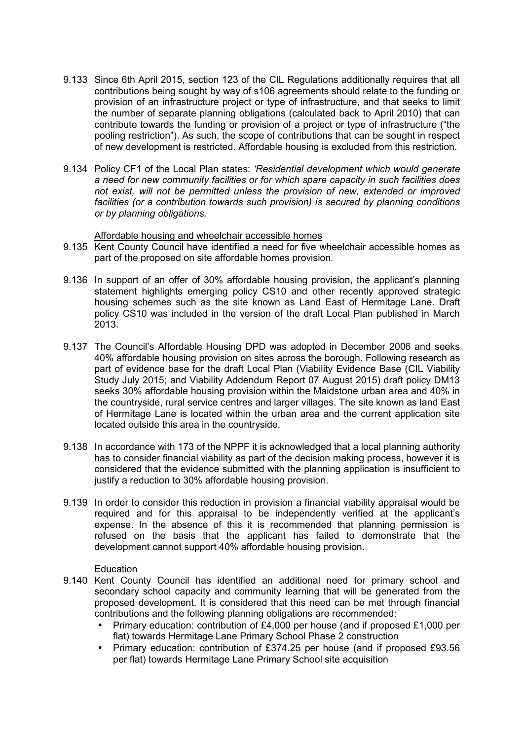- 9.133 Since 6th April 2015, section 123 of the CIL Regulations additionally requires that all contributions being sought by way of s106 agreements should relate to the funding or provision of an infrastructure project or type of infrastructure, and that seeks to limit the number of separate planning obligations (calculated back to April 2010) that can contribute towards the funding or provision of a project or type of infrastructure ("the pooling restriction"). As such, the scope of contributions that can be sought in respect of new development is restricted. Affordable housing is excluded from this restriction.
- 9.134 Policy CF1 of the Local Plan states: *'Residential development which would generate a need for new community facilities or for which spare capacity in such facilities does not exist, will not be permitted unless the provision of new, extended or improved facilities (or a contribution towards such provision) is secured by planning conditions or by planning obligations.*

#### Affordable housing and wheelchair accessible homes

- 9.135 Kent County Council have identified a need for five wheelchair accessible homes as part of the proposed on site affordable homes provision.
- 9.136 In support of an offer of 30% affordable housing provision, the applicant's planning statement highlights emerging policy CS10 and other recently approved strategic housing schemes such as the site known as Land East of Hermitage Lane. Draft policy CS10 was included in the version of the draft Local Plan published in March 2013.
- 9.137 The Council's Affordable Housing DPD was adopted in December 2006 and seeks 40% affordable housing provision on sites across the borough. Following research as part of evidence base for the draft Local Plan (Viability Evidence Base (CIL Viability Study July 2015; and Viability Addendum Report 07 August 2015) draft policy DM13 seeks 30% affordable housing provision within the Maidstone urban area and 40% in the countryside, rural service centres and larger villages. The site known as land East of Hermitage Lane is located within the urban area and the current application site located outside this area in the countryside.
- 9.138 In accordance with 173 of the NPPF it is acknowledged that a local planning authority has to consider financial viability as part of the decision making process, however it is considered that the evidence submitted with the planning application is insufficient to justify a reduction to 30% affordable housing provision.
- 9.139 In order to consider this reduction in provision a financial viability appraisal would be required and for this appraisal to be independently verified at the applicant's expense. In the absence of this it is recommended that planning permission is refused on the basis that the applicant has failed to demonstrate that the development cannot support 40% affordable housing provision.

#### Education

- 9.140 Kent County Council has identified an additional need for primary school and secondary school capacity and community learning that will be generated from the proposed development. It is considered that this need can be met through financial contributions and the following planning obligations are recommended:
	- Primary education: contribution of £4,000 per house (and if proposed £1,000 per flat) towards Hermitage Lane Primary School Phase 2 construction
	- Primary education: contribution of £374.25 per house (and if proposed £93.56 per flat) towards Hermitage Lane Primary School site acquisition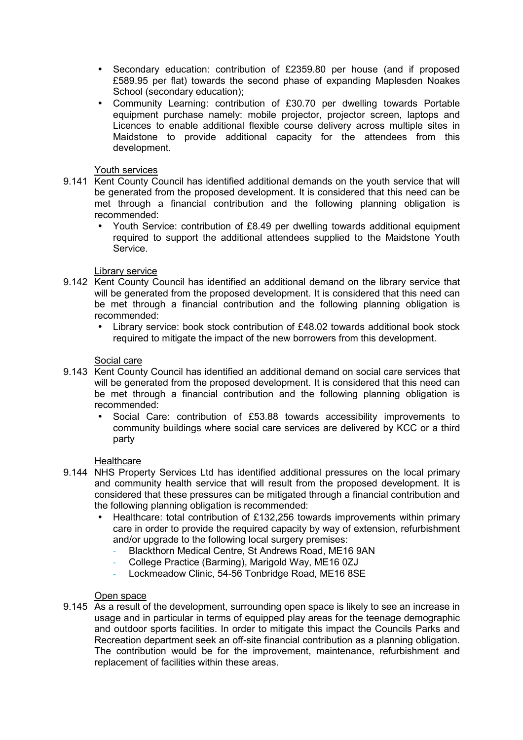- Secondary education: contribution of £2359.80 per house (and if proposed £589.95 per flat) towards the second phase of expanding Maplesden Noakes School (secondary education);
- Community Learning: contribution of £30.70 per dwelling towards Portable equipment purchase namely: mobile projector, projector screen, laptops and Licences to enable additional flexible course delivery across multiple sites in Maidstone to provide additional capacity for the attendees from this development.

## Youth services

- 9.141 Kent County Council has identified additional demands on the youth service that will be generated from the proposed development. It is considered that this need can be met through a financial contribution and the following planning obligation is recommended:
	- Youth Service: contribution of £8.49 per dwelling towards additional equipment required to support the additional attendees supplied to the Maidstone Youth Service.

# Library service

- 9.142 Kent County Council has identified an additional demand on the library service that will be generated from the proposed development. It is considered that this need can be met through a financial contribution and the following planning obligation is recommended:
	- Library service: book stock contribution of £48.02 towards additional book stock required to mitigate the impact of the new borrowers from this development.

# Social care

- 9.143 Kent County Council has identified an additional demand on social care services that will be generated from the proposed development. It is considered that this need can be met through a financial contribution and the following planning obligation is recommended:
	- Social Care: contribution of £53.88 towards accessibility improvements to community buildings where social care services are delivered by KCC or a third party

### **Healthcare**

- 9.144 NHS Property Services Ltd has identified additional pressures on the local primary and community health service that will result from the proposed development. It is considered that these pressures can be mitigated through a financial contribution and the following planning obligation is recommended:
	- Healthcare: total contribution of £132,256 towards improvements within primary care in order to provide the required capacity by way of extension, refurbishment and/or upgrade to the following local surgery premises:
		- Blackthorn Medical Centre, St Andrews Road, ME16 9AN
		- College Practice (Barming), Marigold Way, ME16 0ZJ
		- Lockmeadow Clinic, 54-56 Tonbridge Road, ME16 8SE

### Open space

9.145 As a result of the development, surrounding open space is likely to see an increase in usage and in particular in terms of equipped play areas for the teenage demographic and outdoor sports facilities. In order to mitigate this impact the Councils Parks and Recreation department seek an off-site financial contribution as a planning obligation. The contribution would be for the improvement, maintenance, refurbishment and replacement of facilities within these areas.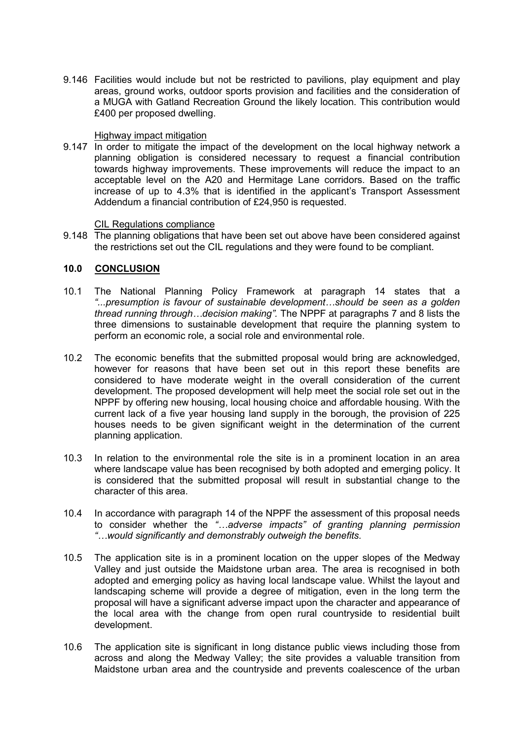9.146 Facilities would include but not be restricted to pavilions, play equipment and play areas, ground works, outdoor sports provision and facilities and the consideration of a MUGA with Gatland Recreation Ground the likely location. This contribution would £400 per proposed dwelling.

#### Highway impact mitigation

9.147 In order to mitigate the impact of the development on the local highway network a planning obligation is considered necessary to request a financial contribution towards highway improvements. These improvements will reduce the impact to an acceptable level on the A20 and Hermitage Lane corridors. Based on the traffic increase of up to 4.3% that is identified in the applicant's Transport Assessment Addendum a financial contribution of £24,950 is requested.

#### CIL Regulations compliance

9.148 The planning obligations that have been set out above have been considered against the restrictions set out the CIL regulations and they were found to be compliant.

### **10.0 CONCLUSION**

- 10.1 The National Planning Policy Framework at paragraph 14 states that a *"...presumption is favour of sustainable development…should be seen as a golden thread running through…decision making".* The NPPF at paragraphs 7 and 8 lists the three dimensions to sustainable development that require the planning system to perform an economic role, a social role and environmental role.
- 10.2 The economic benefits that the submitted proposal would bring are acknowledged, however for reasons that have been set out in this report these benefits are considered to have moderate weight in the overall consideration of the current development. The proposed development will help meet the social role set out in the NPPF by offering new housing, local housing choice and affordable housing. With the current lack of a five year housing land supply in the borough, the provision of 225 houses needs to be given significant weight in the determination of the current planning application.
- 10.3 In relation to the environmental role the site is in a prominent location in an area where landscape value has been recognised by both adopted and emerging policy. It is considered that the submitted proposal will result in substantial change to the character of this area.
- 10.4 In accordance with paragraph 14 of the NPPF the assessment of this proposal needs to consider whether the *"…adverse impacts" of granting planning permission "…would significantly and demonstrably outweigh the benefits.*
- 10.5 The application site is in a prominent location on the upper slopes of the Medway Valley and just outside the Maidstone urban area. The area is recognised in both adopted and emerging policy as having local landscape value. Whilst the layout and landscaping scheme will provide a degree of mitigation, even in the long term the proposal will have a significant adverse impact upon the character and appearance of the local area with the change from open rural countryside to residential built development.
- 10.6 The application site is significant in long distance public views including those from across and along the Medway Valley; the site provides a valuable transition from Maidstone urban area and the countryside and prevents coalescence of the urban